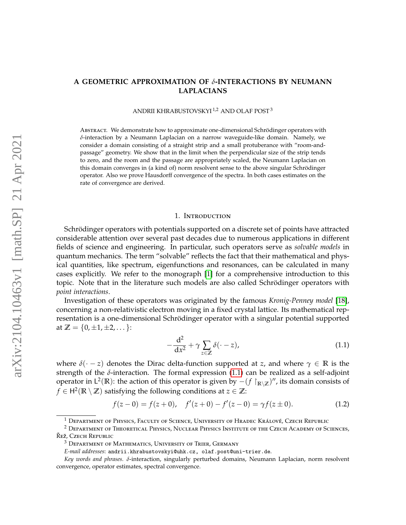# **A GEOMETRIC APPROXIMATION OF** *δ***-INTERACTIONS BY NEUMANN LAPLACIANS**

ANDRII KHRABUSTOVSKYI <sup>1,2</sup> AND OLAF POST<sup>3</sup>

ABSTRACT. We demonstrate how to approximate one-dimensional Schrödinger operators with *δ*-interaction by a Neumann Laplacian on a narrow waveguide-like domain. Namely, we consider a domain consisting of a straight strip and a small protuberance with "room-andpassage" geometry. We show that in the limit when the perpendicular size of the strip tends to zero, and the room and the passage are appropriately scaled, the Neumann Laplacian on this domain converges in (a kind of) norm resolvent sense to the above singular Schrödinger operator. Also we prove Hausdorff convergence of the spectra. In both cases estimates on the rate of convergence are derived.

#### 1. Introduction

Schrödinger operators with potentials supported on a discrete set of points have attracted considerable attention over several past decades due to numerous applications in different fields of science and engineering. In particular, such operators serve as *solvable models* in quantum mechanics. The term "solvable" reflects the fact that their mathematical and physical quantities, like spectrum, eigenfunctions and resonances, can be calculated in many cases explicitly. We refer to the monograph [\[1\]](#page-22-0) for a comprehensive introduction to this topic. Note that in the literature such models are also called Schrödinger operators with *point interactions*.

Investigation of these operators was originated by the famous *Kronig-Penney model* [\[18\]](#page-22-1), concerning a non-relativistic electron moving in a fixed crystal lattice. Its mathematical representation is a one-dimensional Schrödinger operator with a singular potential supported at  $\mathbb{Z} = \{0, \pm 1, \pm 2, \dots\}$ :

<span id="page-0-1"></span><span id="page-0-0"></span>
$$
-\frac{\mathrm{d}^2}{\mathrm{d}x^2} + \gamma \sum_{z \in \mathbb{Z}} \delta(\cdot - z),\tag{1.1}
$$

where  $\delta(\cdot - z)$  denotes the Dirac delta-function supported at *z*, and where  $\gamma \in \mathbb{R}$  is the strength of the  $\delta$ -interaction. The formal expression [\(1.1\)](#page-0-0) can be realized as a self-adjoint operator in  $L^2(\mathbb{R})$ : the action of this operator is given by  $-(f \upharpoonright_{\mathbb{R}\setminus\mathbb{Z}})'$ , its domain consists of *f* ∈ H<sup>2</sup>( $\mathbb{R} \setminus \mathbb{Z}$ ) satisfying the following conditions at  $z \in \mathbb{Z}$ :

$$
f(z-0) = f(z+0), \quad f'(z+0) - f'(z-0) = \gamma f(z \pm 0). \tag{1.2}
$$

 $1$  Department of Physics, Faculty of Science, University of Hradec Králové, Czech Republic

<sup>2</sup> Department of Theoretical Physics, Nuclear Physics Institute of the Czech Academy of Sciences, Řež, Czech Republic

<sup>3</sup> Department of Mathematics, University of Trier, Germany

*E-mail addresses*: andrii.khrabustovskyi@uhk.cz, olaf.post@uni-trier.de.

*Key words and phrases. δ*-interaction, singularly perturbed domains, Neumann Laplacian, norm resolvent convergence, operator estimates, spectral convergence.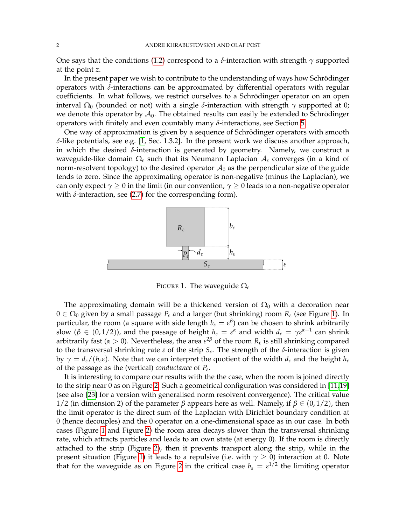One says that the conditions [\(1.2\)](#page-0-1) correspond to a *δ*-interaction with strength *γ* supported at the point *z*.

In the present paper we wish to contribute to the understanding of ways how Schrödinger operators with *δ*-interactions can be approximated by differential operators with regular coefficients. In what follows, we restrict ourselves to a Schrödinger operator on an open interval  $Ω_0$  (bounded or not) with a single  $\delta$ -interaction with strength  $γ$  supported at 0; we denote this operator by  $A_0$ . The obtained results can easily be extended to Schrödinger operators with finitely and even countably many *δ*-interactions, see Section [5.](#page-20-0)

One way of approximation is given by a sequence of Schrödinger operators with smooth *δ*-like potentials, see e.g. [\[1,](#page-22-0) Sec. 1.3.2]. In the present work we discuss another approach, in which the desired *δ*-interaction is generated by geometry. Namely, we construct a waveguide-like domain Ω*<sup>ε</sup>* such that its Neumann Laplacian A*<sup>ε</sup>* converges (in a kind of norm-resolvent topology) to the desired operator  $A_0$  as the perpendicular size of the guide tends to zero. Since the approximating operator is non-negative (minus the Laplacian), we can only expect  $\gamma \geq 0$  in the limit (in our convention,  $\gamma \geq 0$  leads to a non-negative operator with  $\delta$ -interaction, see [\(2.7\)](#page-4-0) for the corresponding form).



<span id="page-1-0"></span>FIGURE 1. The waveguide  $\Omega_{\varepsilon}$ 

The approximating domain will be a thickened version of  $\Omega_0$  with a decoration near  $0 \in \Omega_0$  given by a small passage  $P_\varepsilon$  and a larger (but shrinking) room  $R_\varepsilon$  (see Figure [1\)](#page-1-0). In particular, the room (a square with side length  $b_\varepsilon = \varepsilon^\beta$ ) can be chosen to shrink arbitrarily slow ( $\beta \in (0, 1/2)$ ), and the passage of height  $h_{\varepsilon} = \varepsilon^{\alpha}$  and width  $d_{\varepsilon} = \gamma \varepsilon^{\alpha+1}$  can shrink arbitrarily fast ( $\alpha > 0$ ). Nevertheless, the area  $\varepsilon^{2\beta}$  of the room  $R_{\varepsilon}$  is still shrinking compared to the transversal shrinking rate *ε* of the strip *S<sup>ε</sup>* . The strength of the *δ*-interaction is given by  $\gamma = d_{\varepsilon}/(h_{\varepsilon} \varepsilon)$ . Note that we can interpret the quotient of the width  $d_{\varepsilon}$  and the height  $h_{\varepsilon}$ of the passage as the (vertical) *conductance* of *P<sup>ε</sup>* .

It is interesting to compare our results with the the case, when the room is joined directly to the strip near 0 as on Figure [2.](#page-2-0) Such a geometrical configuration was considered in [\[11](#page-22-2)[,19\]](#page-22-3) (see also [\[23\]](#page-22-4) for a version with generalised norm resolvent convergence). The critical value 1/2 (in dimension 2) of the parameter *β* appears here as well. Namely, if  $β ∈ (0,1/2)$ , then the limit operator is the direct sum of the Laplacian with Dirichlet boundary condition at 0 (hence decouples) and the 0 operator on a one-dimensional space as in our case. In both cases (Figure [1](#page-1-0) and Figure [2\)](#page-2-0) the room area decays slower than the transversal shrinking rate, which attracts particles and leads to an own state (at energy 0). If the room is directly attached to the strip (Figure [2\)](#page-2-0), then it prevents transport along the strip, while in the present situation (Figure [1\)](#page-1-0) it leads to a repulsive (i.e. with  $\gamma \geq 0$ ) interaction at 0. Note that for the waveguide as on Figure [2](#page-2-0) in the critical case  $b_{\varepsilon} = \varepsilon^{1/2}$  the limiting operator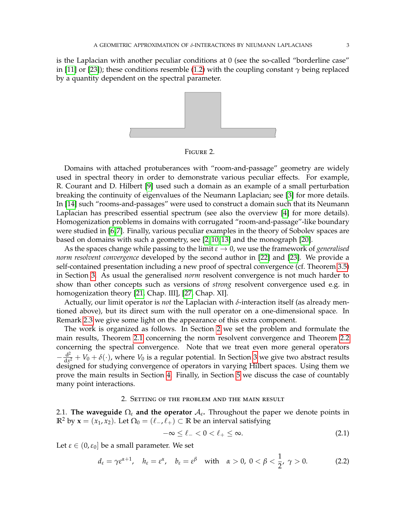is the Laplacian with another peculiar conditions at 0 (see the so-called "borderline case" in [\[11\]](#page-22-2) or [\[23\]](#page-22-4)); these conditions resemble [\(1.2\)](#page-0-1) with the coupling constant  $\gamma$  being replaced by a quantity dependent on the spectral parameter.



<span id="page-2-0"></span>Figure 2.

Domains with attached protuberances with "room-and-passage" geometry are widely used in spectral theory in order to demonstrate various peculiar effects. For example, R. Courant and D. Hilbert [\[9\]](#page-22-5) used such a domain as an example of a small perturbation breaking the continuity of eigenvalues of the Neumann Laplacian; see [\[3\]](#page-22-6) for more details. In [\[14\]](#page-22-7) such "rooms-and-passages" were used to construct a domain such that its Neumann Laplacian has prescribed essential spectrum (see also the overview [\[4\]](#page-22-8) for more details). Homogenization problems in domains with corrugated "room-and-passage"-like boundary were studied in [\[6,](#page-22-9)[7\]](#page-22-10). Finally, various peculiar examples in the theory of Sobolev spaces are based on domains with such a geometry, see [\[2,](#page-22-11) [10,](#page-22-12) [13\]](#page-22-13) and the monograph [\[20\]](#page-22-14).

As the spaces change while passing to the limit *ε* → 0, we use the framework of *generalised norm resolvent convergence* developed by the second author in [\[22\]](#page-22-15) and [\[23\]](#page-22-4). We provide a self-contained presentation including a new proof of spectral convergence (cf. Theorem [3.5\)](#page-8-0) in Section [3.](#page-6-0) As usual the generalised *norm* resolvent convergence is not much harder to show than other concepts such as versions of *strong* resolvent convergence used e.g. in homogenization theory [\[21,](#page-22-16) Chap. III], [\[27,](#page-22-17) Chap. XI].

Actually, our limit operator is *not* the Laplacian with *δ*-interaction itself (as already mentioned above), but its direct sum with the null operator on a one-dimensional space. In Remark [2.3](#page-6-1) we give some light on the appearance of this extra component.

The work is organized as follows. In Section [2](#page-2-1) we set the problem and formulate the main results, Theorem [2.1](#page-5-0) concerning the norm resolvent convergence and Theorem [2.2](#page-6-2) concerning the spectral convergence. Note that we treat even more general operators  $-\frac{d^2}{dx^2}$  $\frac{d^2}{dx^2} + V_0 + \delta(\cdot)$ , where  $V_0$  is a regular potential. In Section [3](#page-6-0) we give two abstract results designed for studying convergence of operators in varying Hilbert spaces. Using them we prove the main results in Section [4.](#page-12-0) Finally, in Section [5](#page-20-0) we discuss the case of countably many point interactions.

### 2. Setting of the problem and the main result

<span id="page-2-1"></span>2.1. **The waveguide**  $\Omega_{\varepsilon}$  and the operator  $\mathcal{A}_{\varepsilon}$ . Throughout the paper we denote points in  $\mathbb{R}^2$  by **x** = (*x*<sub>1</sub>, *x*<sub>2</sub>). Let  $Ω_0$  = ( $\ell_$ −,  $\ell_+$ ) ⊂ **R** be an interval satisfying

<span id="page-2-3"></span><span id="page-2-2"></span>
$$
-\infty \leq \ell_- < 0 < \ell_+ \leq \infty. \tag{2.1}
$$

Let  $\varepsilon \in (0, \varepsilon_0]$  be a small parameter. We set

$$
d_{\varepsilon} = \gamma \varepsilon^{\alpha+1}, \quad h_{\varepsilon} = \varepsilon^{\alpha}, \quad b_{\varepsilon} = \varepsilon^{\beta} \quad \text{with} \quad \alpha > 0, \ 0 < \beta < \frac{1}{2}, \ \gamma > 0. \tag{2.2}
$$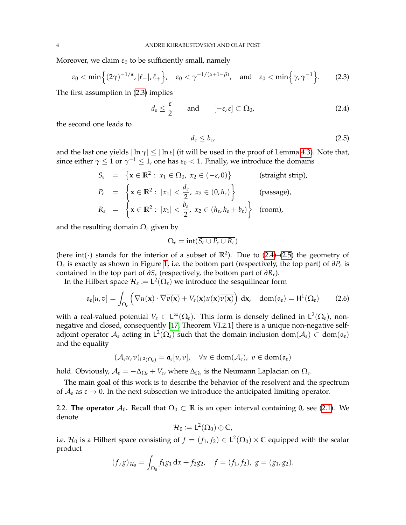Moreover, we claim  $\varepsilon_0$  to be sufficiently small, namely

<span id="page-3-0"></span>
$$
\varepsilon_0 < \min\Big\{ (2\gamma)^{-1/\alpha}, |\ell_-|, \ell_+\Big\}, \quad \varepsilon_0 < \gamma^{-1/(\alpha+1-\beta)}, \quad \text{and} \quad \varepsilon_0 < \min\Big\{ \gamma, \gamma^{-1} \Big\}. \tag{2.3}
$$

The first assumption in [\(2.3\)](#page-3-0) implies

$$
d_{\varepsilon} \leq \frac{\varepsilon}{2} \quad \text{and} \quad [-\varepsilon, \varepsilon] \subset \Omega_0,
$$
 (2.4)

the second one leads to

<span id="page-3-2"></span><span id="page-3-1"></span>
$$
d_{\varepsilon} \leq b_{\varepsilon},\tag{2.5}
$$

and the last one yields  $|\ln \gamma| \leq |\ln \varepsilon|$  (it will be used in the proof of Lemma [4.3\)](#page-12-1). Note that, since either  $\gamma \leq 1$  or  $\gamma^{-1} \leq 1$ , one has  $\varepsilon_0 < 1$ . Finally, we introduce the domains

$$
S_{\varepsilon} = \left\{ \mathbf{x} \in \mathbb{R}^2 : x_1 \in \Omega_0, x_2 \in (-\varepsilon, 0) \right\}
$$
 (straight strip),  
\n
$$
P_{\varepsilon} = \left\{ \mathbf{x} \in \mathbb{R}^2 : |x_1| < \frac{d_{\varepsilon}}{2}, x_2 \in (0, h_{\varepsilon}) \right\}
$$
 (passage),  
\n
$$
R_{\varepsilon} = \left\{ \mathbf{x} \in \mathbb{R}^2 : |x_1| < \frac{b_{\varepsilon}}{2}, x_2 \in (h_{\varepsilon}, h_{\varepsilon} + b_{\varepsilon}) \right\}
$$
 (room),

and the resulting domain Ω*<sup>ε</sup>* given by

<span id="page-3-3"></span>
$$
\Omega_\epsilon = \text{int}(\overline{S_\epsilon \cup P_\epsilon \cup R_\epsilon})
$$

(here int( $\cdot$ ) stands for the interior of a subset of  $\mathbb{R}^2$ ). Due to [\(2.4\)](#page-3-1)–[\(2.5\)](#page-3-2) the geometry of Ω*ε* is exactly as shown in Figure [1,](#page-1-0) i.e. the bottom part (respectively, the top part) of *∂P<sup>ε</sup>* is contained in the top part of  $\partial S$ <sup>*ε*</sup> (respectively, the bottom part of  $\partial R$ <sup>*ε*</sup>).

In the Hilbert space  $\mathcal{H}_{\varepsilon} \coloneqq \mathsf{L}^2(\Omega_{\varepsilon})$  we introduce the sesquilinear form

$$
\mathfrak{a}_{\varepsilon}[u,v] = \int_{\Omega_{\varepsilon}} \left( \nabla u(\mathbf{x}) \cdot \overline{\nabla v(\mathbf{x})} + V_{\varepsilon}(\mathbf{x}) u(\mathbf{x}) \overline{v(\mathbf{x})} \right) d\mathbf{x}, \quad d\text{om}(\mathfrak{a}_{\varepsilon}) = \mathsf{H}^{1}(\Omega_{\varepsilon}) \tag{2.6}
$$

with a real-valued potential  $V_\varepsilon \in L^\infty(\Omega_\varepsilon)$ . This form is densely defined in  $L^2(\Omega_\varepsilon)$ , nonnegative and closed, consequently [\[17,](#page-22-18) Theorem VI.2.1] there is a unique non-negative selfadjoint operator  $\mathcal{A}_\varepsilon$  acting in  $\mathsf{L}^2(\Omega_\varepsilon)$  such that the domain inclusion  $\mathrm{dom}(\mathcal{A}_\varepsilon)\subset\mathrm{dom}(\mathfrak{a}_\varepsilon)$ and the equality

$$
(\mathcal{A}_{\varepsilon}u,v)_{L^2(\Omega_{\varepsilon})}=\mathfrak{a}_{\varepsilon}[u,v],\quad \forall u\in\text{dom}(\mathcal{A}_{\varepsilon}),\ v\in\text{dom}(\mathfrak{a}_{\varepsilon})
$$

hold. Obviously,  $A_\varepsilon = -\Delta_{\Omega_\varepsilon} + V_\varepsilon$ , where  $\Delta_{\Omega_\varepsilon}$  is the Neumann Laplacian on  $\Omega_\varepsilon$ .

The main goal of this work is to describe the behavior of the resolvent and the spectrum of  $A_{\varepsilon}$  as  $\varepsilon \to 0$ . In the next subsection we introduce the anticipated limiting operator.

2.2. **The operator**  $\mathcal{A}_0$ . Recall that  $\Omega_0 \subset \mathbb{R}$  is an open interval containing 0, see [\(2.1\)](#page-2-2). We denote

$$
\mathcal{H}_0\coloneqq \mathsf{L}^2(\Omega_0)\oplus \mathbb{C},
$$

i.e.  $\mathcal{H}_0$  is a Hilbert space consisting of  $f = (f_1, f_2) \in \mathsf{L}^2(\Omega_0) \times \mathbb{C}$  equipped with the scalar product

$$
(f,g)_{\mathcal{H}_0} = \int_{\Omega_0} f_1 \overline{g_1} \, dx + f_2 \overline{g_2}, \quad f = (f_1, f_2), \ g = (g_1, g_2).
$$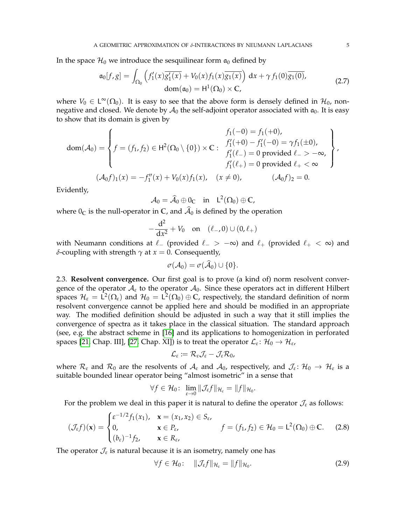In the space  $\mathcal{H}_0$  we introduce the sesquilinear form  $\mathfrak{a}_0$  defined by

$$
\mathfrak{a}_0[f, g] = \int_{\Omega_0} \left( f_1'(x) \overline{g_1'(x)} + V_0(x) f_1(x) \overline{g_1(x)} \right) dx + \gamma f_1(0) \overline{g_1(0)},
$$
\n
$$
\text{dom}(\mathfrak{a}_0) = \mathsf{H}^1(\Omega_0) \times \mathbb{C},
$$
\n(2.7)

where  $V_0 \in L^{\infty}(\Omega_0)$ . It is easy to see that the above form is densely defined in  $\mathcal{H}_0$ , nonnegative and closed. We denote by  $A_0$  the self-adjoint operator associated with  $a_0$ . It is easy to show that its domain is given by

$$
dom(\mathcal{A}_0) = \left\{ f = (f_1, f_2) \in H^2(\Omega_0 \setminus \{0\}) \times \mathbb{C} : \begin{array}{l} f_1(-0) = f_1(+0), \\ f'_1(+0) - f'_1(-0) = \gamma f_1(\pm 0), \\ f'_1(\ell_-) = 0 \text{ provided } \ell_- > -\infty, \\ f'_1(\ell_+) = 0 \text{ provided } \ell_+ < \infty \end{array} \right\},
$$

$$
(\mathcal{A}_0 f)_1(x) = -f''_1(x) + V_0(x) f_1(x), \quad (x \neq 0), \qquad (\mathcal{A}_0 f)_2 = 0.
$$

Evidently,

<span id="page-4-0"></span> $\mathcal{A}_0 = \widehat{\mathcal{A}}_0 \oplus 0_{\mathbb{C}}$  in  $L^2(\Omega_0) \oplus \mathbb{C}$ ,

where  $0<sub>C</sub>$  is the null-operator in C, and  $\hat{\mathcal{A}}_0$  is defined by the operation

$$
-\frac{d^2}{dx^2} + V_0 \quad \text{on} \quad (\ell_-,0) \cup (0,\ell_+)
$$

with Neumann conditions at  $\ell_-$  (provided  $\ell_- > -\infty$ ) and  $\ell_+$  (provided  $\ell_+ < \infty$ ) and *δ*-coupling with strength  $γ$  at  $x = 0$ . Consequently,

$$
\sigma(\mathcal{A}_0)=\sigma(\widehat{\mathcal{A}}_0)\cup\{0\}.
$$

2.3. **Resolvent convergence.** Our first goal is to prove (a kind of) norm resolvent convergence of the operator  $A_{\varepsilon}$  to the operator  $A_0$ . Since these operators act in different Hilbert spaces  $H_{\varepsilon} = L^2(\Omega_{\varepsilon})$  and  $H_0 = L^2(\Omega_0) \oplus \mathbb{C}$ , respectively, the standard definition of norm resolvent convergence cannot be applied here and should be modified in an appropriate way. The modified definition should be adjusted in such a way that it still implies the convergence of spectra as it takes place in the classical situation. The standard approach (see, e.g. the abstract scheme in [\[16\]](#page-22-19) and its applications to homogenization in perforated spaces [\[21,](#page-22-16) Chap. III], [\[27,](#page-22-17) Chap. XI]) is to treat the operator  $\mathcal{L}_\varepsilon\colon \mathcal{H}_0\to \mathcal{H}_\varepsilon$ ,

<span id="page-4-1"></span>
$$
\mathcal{L}_{\varepsilon} := \mathcal{R}_{\varepsilon} \mathcal{J}_{\varepsilon} - \mathcal{J}_{\varepsilon} \mathcal{R}_0,
$$

where  $\mathcal{R}_\varepsilon$  and  $\mathcal{R}_0$  are the resolvents of  $\mathcal{A}_\varepsilon$  and  $\mathcal{A}_0$ , respectively, and  $\mathcal{J}_\varepsilon\colon\mathcal{H}_0\to\mathcal{H}_\varepsilon$  is a suitable bounded linear operator being "almost isometric" in a sense that

$$
\forall f \in \mathcal{H}_0: \ \lim_{\varepsilon \to 0} \|\mathcal{J}_{\varepsilon} f\|_{\mathcal{H}_{\varepsilon}} = \|f\|_{\mathcal{H}_0}.
$$

For the problem we deal in this paper it is natural to define the operator  $\mathcal{J}_{\varepsilon}$  as follows:

$$
(\mathcal{J}_{\varepsilon}f)(\mathbf{x}) = \begin{cases} \varepsilon^{-1/2} f_1(x_1), & \mathbf{x} = (x_1, x_2) \in S_{\varepsilon}, \\ 0, & \mathbf{x} \in P_{\varepsilon}, \\ (b_{\varepsilon})^{-1} f_2, & \mathbf{x} \in R_{\varepsilon}, \end{cases} \qquad f = (f_1, f_2) \in \mathcal{H}_0 = \mathsf{L}^2(\Omega_0) \oplus \mathbb{C}. \tag{2.8}
$$

The operator  $\mathcal{J}_{\varepsilon}$  is natural because it is an isometry, namely one has

<span id="page-4-2"></span>
$$
\forall f \in \mathcal{H}_0: \quad \|\mathcal{J}_{\varepsilon} f\|_{\mathcal{H}_{\varepsilon}} = \|f\|_{\mathcal{H}_0}. \tag{2.9}
$$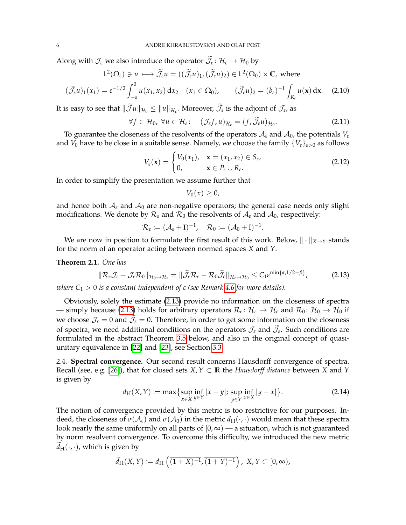Along with  $\mathcal{J}_{\varepsilon}$  we also introduce the operator  $\mathcal{J}_{\varepsilon} \colon \mathcal{H}_{\varepsilon} \to \mathcal{H}_{0}$  by

$$
L^{2}(\Omega_{\varepsilon}) \ni u \longmapsto \widetilde{\mathcal{J}}_{\varepsilon}u = ((\widetilde{\mathcal{J}}_{\varepsilon}u)_{1}, (\widetilde{\mathcal{J}}_{\varepsilon}u)_{2}) \in L^{2}(\Omega_{0}) \times \mathbb{C}, \text{ where}
$$

$$
(\widetilde{\mathcal{J}}_{\varepsilon}u)_{1}(x_{1}) = \varepsilon^{-1/2} \int_{-\varepsilon}^{0} u(x_{1}, x_{2}) dx_{2} \quad (x_{1} \in \Omega_{0}), \qquad (\widetilde{\mathcal{J}}_{\varepsilon}u)_{2} = (b_{\varepsilon})^{-1} \int_{R_{\varepsilon}} u(\mathbf{x}) d\mathbf{x}. \tag{2.10}
$$

It is easy to see that  $\|\mathcal{J}u\|_{\mathcal{H}_0}\leq \|u\|_{\mathcal{H}_\varepsilon}$ . Moreover,  $\mathcal{J}_\varepsilon$  is the adjoint of  $\mathcal{J}_\varepsilon$ , as

$$
\forall f \in \mathcal{H}_0, \ \forall u \in \mathcal{H}_{\varepsilon} \colon \quad (\mathcal{J}_{\varepsilon} f, u)_{\mathcal{H}_{\varepsilon}} = (f, \widetilde{\mathcal{J}}_{\varepsilon} u)_{\mathcal{H}_0}. \tag{2.11}
$$

To guarantee the closeness of the resolvents of the operators  $A_{\varepsilon}$  and  $A_0$ , the potentials  $V_{\varepsilon}$ and  $V_0$  have to be close in a suitable sense. Namely, we choose the family  $\{V_{\varepsilon}\}_{{\varepsilon}>0}$  as follows

$$
V_{\varepsilon}(\mathbf{x}) = \begin{cases} V_0(x_1), & \mathbf{x} = (x_1, x_2) \in S_{\varepsilon}, \\ 0, & \mathbf{x} \in P_{\varepsilon} \cup R_{\varepsilon}. \end{cases}
$$
(2.12)

In order to simplify the presentation we assume further that

<span id="page-5-5"></span><span id="page-5-4"></span><span id="page-5-2"></span><span id="page-5-1"></span>
$$
V_0(x)\geq 0,
$$

and hence both  $A_{\varepsilon}$  and  $A_0$  are non-negative operators; the general case needs only slight modifications. We denote by  $\mathcal{R}_{\varepsilon}$  and  $\mathcal{R}_0$  the resolvents of  $\mathcal{A}_{\varepsilon}$  and  $\mathcal{A}_0$ , respectively:

$$
\mathcal{R}_{\varepsilon} \coloneqq (\mathcal{A}_{\varepsilon} + I)^{-1}, \quad \mathcal{R}_0 \coloneqq (\mathcal{A}_0 + I)^{-1}.
$$

We are now in position to formulate the first result of this work. Below,  $\|\cdot\|_{X\to Y}$  stands for the norm of an operator acting between normed spaces *X* and *Y*.

<span id="page-5-0"></span>**Theorem 2.1.** *One has*

$$
\|\mathcal{R}_{\varepsilon}\mathcal{J}_{\varepsilon}-\mathcal{J}_{\varepsilon}\mathcal{R}_{0}\|_{\mathcal{H}_{0}\to\mathcal{H}_{\varepsilon}}=\|\widetilde{\mathcal{J}}_{\varepsilon}\mathcal{R}_{\varepsilon}-\mathcal{R}_{0}\widetilde{\mathcal{J}}_{\varepsilon}\|_{\mathcal{H}_{\varepsilon}\to\mathcal{H}_{0}}\leq C_{1}\varepsilon^{\min\{\alpha,1/2-\beta\}},\tag{2.13}
$$

*where*  $C_1 > 0$  *is a constant independent of*  $ε$  *(see Remark [4.6](#page-18-0) for more details).* 

Obviously, solely the estimate [\(2.13\)](#page-5-1) provide no information on the closeness of spectra — simply because [\(2.13\)](#page-5-1) holds for arbitrary operators  $\mathcal{R}_\varepsilon\colon\mathcal{H}_\varepsilon\to\mathcal{H}_\varepsilon$  and  $\mathcal{R}_0\colon\mathcal{H}_0\to\mathcal{H}_0$  if we choose  $\mathcal{J}_{\varepsilon} = 0$  and  $\mathcal{J}_{\varepsilon} = 0$ . Therefore, in order to get some information on the closeness of spectra, we need additional conditions on the operators  $\mathcal{J}_{\varepsilon}$  and  $\mathcal{J}_{\varepsilon}$ . Such conditions are formulated in the abstract Theorem [3.5](#page-8-0) below, and also in the original concept of quasiunitary equivalence in [\[22\]](#page-22-15) and [\[23\]](#page-22-4), see Section [3.3.](#page-10-0)

2.4. **Spectral convergence.** Our second result concerns Hausdorff convergence of spectra. Recall (see, e.g. [\[26\]](#page-22-20)), that for closed sets *X*,*Y* ⊂ **R** the *Hausdorff distance* between *X* and *Y* is given by

<span id="page-5-3"></span>
$$
d_H(X, Y) := \max \{ \sup_{x \in X} \inf_{y \in Y} |x - y|; \sup_{y \in Y} \inf_{x \in X} |y - x| \}.
$$
 (2.14)

The notion of convergence provided by this metric is too restrictive for our purposes. Indeed, the closeness of  $\sigma(A_{\varepsilon})$  and  $\sigma(A_0)$  in the metric  $d_H(\cdot,\cdot)$  would mean that these spectra look nearly the same uniformly on all parts of  $[0, \infty)$  — a situation, which is not guaranteed by norm resolvent convergence. To overcome this difficulty, we introduced the new metric  $d_H(\cdot, \cdot)$ , which is given by

$$
\widetilde{d}_{\mathrm{H}}(X,Y) := d_{\mathrm{H}}\left(\overline{(1+X)^{-1}}, \overline{(1+Y)^{-1}}\right), \ X, Y \subset [0, \infty),
$$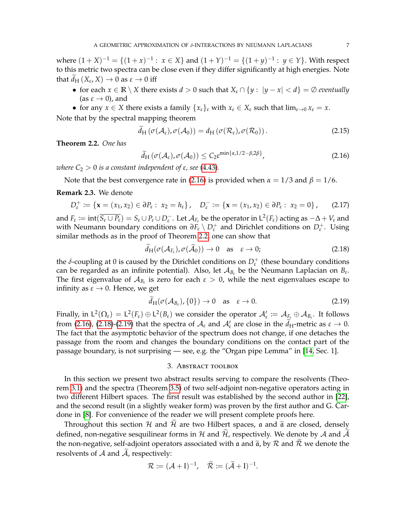where  $(1+X)^{-1} = \{(1+x)^{-1} : x \in X\}$  and  $(1+Y)^{-1} = \{(1+y)^{-1} : y \in Y\}$ . With respect to this metric two spectra can be close even if they differ significantly at high energies. Note that  $d_H(X_\varepsilon,X)\to 0$  as  $\varepsilon\to 0$  iff

- for each  $x \in \mathbb{R} \setminus X$  there exists  $d > 0$  such that  $X_{\varepsilon} \cap \{y : |y x| < d\} = \emptyset$  *eventually* (as  $\varepsilon \to 0$ ), and
- for any  $x \in X$  there exists a family  $\{x_{\varepsilon}\}_\varepsilon$  with  $x_{\varepsilon} \in X_{\varepsilon}$  such that  $\lim_{\varepsilon \to 0} x_{\varepsilon} = x$ .

Note that by the spectral mapping theorem

<span id="page-6-7"></span>
$$
\widetilde{d}_{\mathrm{H}}\left(\sigma(\mathcal{A}_{\varepsilon}),\sigma(\mathcal{A}_{0})\right)=d_{\mathrm{H}}\left(\sigma(\mathcal{R}_{\varepsilon}),\sigma(\mathcal{R}_{0})\right).
$$
\n(2.15)

<span id="page-6-2"></span>**Theorem 2.2.** *One has*

<span id="page-6-3"></span>
$$
\widetilde{d}_{\mathrm{H}}\left(\sigma(\mathcal{A}_{\varepsilon}),\sigma(\mathcal{A}_{0})\right) \leq C_{2}\varepsilon^{\min\{\alpha,1/2-\beta,2\beta\}},\tag{2.16}
$$

*where*  $C_2 > 0$  *is a constant independent of*  $\varepsilon$ *, see* [\(4.43\)](#page-19-0).

Note that the best convergence rate in [\(2.16\)](#page-6-3) is provided when  $\alpha = 1/3$  and  $\beta = 1/6$ .

## <span id="page-6-1"></span>**Remark 2.3.** We denote

$$
D_{\varepsilon}^{+} := \{ \mathbf{x} = (x_1, x_2) \in \partial P_{\varepsilon} : x_2 = h_{\varepsilon} \}, \quad D_{\varepsilon}^{-} := \{ \mathbf{x} = (x_1, x_2) \in \partial P_{\varepsilon} : x_2 = 0 \}, \qquad (2.17)
$$

and  $F_{\varepsilon} := \text{int}(\overline{S_{\varepsilon} \cup P_{\varepsilon}}) = S_{\varepsilon} \cup P_{\varepsilon} \cup D_{\varepsilon}^-$ . Let  $\mathcal{A}_{F_{\varepsilon}}$  be the operator in  $\mathsf{L}^2(F_{\varepsilon})$  acting as  $-\Delta + V_{\varepsilon}$  and with Neumann boundary conditions on  $∂F_{ε} ∖ D_{ε}^+$  and Dirichlet conditions on  $D_{ε}^+$ . Using similar methods as in the proof of Theorem [2.2,](#page-6-2) one can show that

<span id="page-6-6"></span><span id="page-6-4"></span>
$$
d_{\mathrm{H}}(\sigma(\mathcal{A}_{F_{\varepsilon}}), \sigma(\mathcal{A}_{0})) \to 0 \quad \text{as} \quad \varepsilon \to 0; \tag{2.18}
$$

the *δ*-coupling at 0 is caused by the Dirichlet conditions on  $D_{\varepsilon}^+$  (these boundary conditions can be regarded as an infinite potential). Also, let  $A_{B_{\varepsilon}}$  be the Neumann Laplacian on  $B_{\varepsilon}$ . The first eigenvalue of  $A_{B_{\varepsilon}}$  is zero for each  $\varepsilon > 0$ , while the next eigenvalues escape to infinity as  $\varepsilon \to 0$ . Hence, we get

$$
d_{\mathrm{H}}(\sigma(\mathcal{A}_{B_{\varepsilon}}),\{0\}) \to 0 \quad \text{as} \quad \varepsilon \to 0. \tag{2.19}
$$

Finally, in  $\mathsf{L}^2(\Omega_\varepsilon) = \mathsf{L}^2(F_\varepsilon) \oplus \mathsf{L}^2(B_\varepsilon)$  we consider the operator  $\mathcal{A}_\varepsilon' \coloneqq \mathcal{A}_{F_\varepsilon} \oplus \mathcal{A}_{B_\varepsilon}$ . It follows from [\(2.16\)](#page-6-3), [\(2.18\)](#page-6-4)-[\(2.19\)](#page-6-5) that the spectra of  $A_{\varepsilon}$  and  $A'_{\varepsilon}$  are close in the  $\tilde{d}_{H}$ -metric as  $\varepsilon \to 0$ . The fact that the asymptotic behavior of the spectrum does not change, if one detaches the passage from the room and changes the boundary conditions on the contact part of the passage boundary, is not surprising — see, e.g. the "Organ pipe Lemma" in [\[14,](#page-22-7) Sec. 1].

#### <span id="page-6-5"></span>3. Abstract toolbox

<span id="page-6-0"></span>In this section we present two abstract results serving to compare the resolvents (Theorem [3.1\)](#page-7-0) and the spectra (Theorem [3.5\)](#page-8-0) of two self-adjoint non-negative operators acting in two different Hilbert spaces. The first result was established by the second author in [\[22\]](#page-22-15), and the second result (in a slightly weaker form) was proven by the first author and G. Cardone in [\[8\]](#page-22-21). For convenience of the reader we will present complete proofs here.

Throughout this section  $H$  and  $H$  are two Hilbert spaces, a and  $\tilde{a}$  are closed, densely defined, non-negative sesquilinear forms in H and  $\mathcal{H}$ , respectively. We denote by A and  $\mathcal{\tilde{A}}$ the non-negative, self-adjoint operators associated with a and  $\tilde{a}$ , by  $R$  and  $\tilde{R}$  we denote the resolvents of  $A$  and  $A$ , respectively:

$$
\mathcal{R} := (\mathcal{A} + I)^{-1}, \quad \widetilde{\mathcal{R}} := (\widetilde{\mathcal{A}} + I)^{-1}.
$$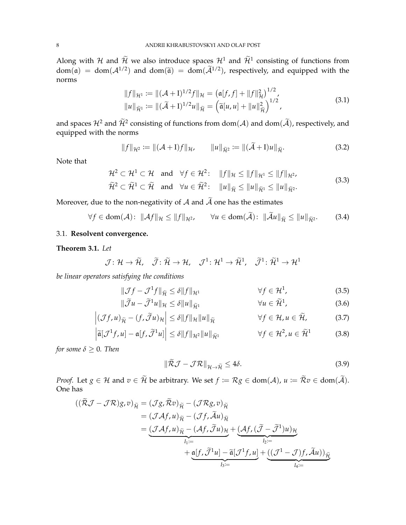Along with H and  $\widetilde{\mathcal{H}}$  we also introduce spaces  $\mathcal{H}^1$  and  $\widetilde{\mathcal{H}}^1$  consisting of functions from  $dom(\mathfrak{a}) = dom(\mathcal{A}^{1/2})$  and  $dom(\tilde{\mathfrak{a}}) = dom(\tilde{\mathcal{A}}^{1/2})$ , respectively, and equipped with the norms

<span id="page-7-8"></span>
$$
||f||_{\mathcal{H}^{1}} := ||(\mathcal{A} + I)^{1/2}f||_{\mathcal{H}} = (\mathfrak{a}[f, f] + ||f||_{\mathcal{H}}^{2})^{1/2},
$$
  
\n
$$
||u||_{\widetilde{\mathcal{H}}^{1}} := ||(\widetilde{\mathcal{A}} + I)^{1/2}u||_{\widetilde{\mathcal{H}}} = (\widetilde{\mathfrak{a}}[u, u] + ||u||_{\widetilde{\mathcal{H}}}^{2})^{1/2},
$$
\n(3.1)

and spaces  $\mathcal{H}^2$  and  $\mathcal{H}^2$  consisting of functions from dom( $\mathcal{A}$ ) and dom( $\mathcal{A}$ ), respectively, and equipped with the norms

<span id="page-7-9"></span><span id="page-7-4"></span><span id="page-7-3"></span>
$$
||f||_{\mathcal{H}^2} := ||(\mathcal{A} + I)f||_{\mathcal{H}}, \qquad ||u||_{\widetilde{\mathcal{H}}^2} := ||(\widetilde{\mathcal{A}} + I)u||_{\widetilde{\mathcal{H}}}.
$$
 (3.2)

Note that

$$
\mathcal{H}^2 \subset \mathcal{H}^1 \subset \mathcal{H} \text{ and } \forall f \in \mathcal{H}^2: \quad \|f\|_{\mathcal{H}} \le \|f\|_{\mathcal{H}^1} \le \|f\|_{\mathcal{H}^2},
$$
\n
$$
\widetilde{\mathcal{H}}^2 \subset \widetilde{\mathcal{H}}^1 \subset \widetilde{\mathcal{H}} \text{ and } \forall u \in \widetilde{\mathcal{H}}^2: \quad \|u\|_{\widetilde{\mathcal{H}}} \le \|u\|_{\widetilde{\mathcal{H}}^1} \le \|u\|_{\widetilde{\mathcal{H}}^2}.
$$
\n(3.3)

Moreover, due to the non-negativity of  $A$  and  $\widetilde{A}$  one has the estimates

 $\forall f \in \text{dom}(\mathcal{A}) : ||\mathcal{A}f||_{\mathcal{H}} \leq ||f||_{\mathcal{H}^2}, \quad \forall u \in \text{dom}(\widetilde{\mathcal{A}}): ||\widetilde{\mathcal{A}}u||_{\widetilde{\mathcal{H}}} \leq ||u||_{\widetilde{\mathcal{H}}^2}.$  $(3.4)$ 

# 3.1. **Resolvent convergence.**

## <span id="page-7-0"></span>**Theorem 3.1.** *Let*

$$
\mathcal{J} \colon \mathcal{H} \to \widetilde{\mathcal{H}}, \quad \widetilde{\mathcal{J}} \colon \widetilde{\mathcal{H}} \to \mathcal{H}, \quad \mathcal{J}^1 \colon \mathcal{H}^1 \to \widetilde{\mathcal{H}}^1, \quad \widetilde{\mathcal{J}}^1 \colon \widetilde{\mathcal{H}}^1 \to \mathcal{H}^1
$$

*be linear operators satisfying the conditions*

$$
\|\mathcal{J}f - \mathcal{J}^1f\|_{\tilde{\mathcal{H}}} \le \delta \|f\|_{\mathcal{H}^1} \qquad \forall f \in \mathcal{H}^1, \tag{3.5}
$$

$$
\|\widetilde{\mathcal{J}}u - \widetilde{\mathcal{J}}^1u\|_{\mathcal{H}} \le \delta \|u\|_{\widetilde{\mathcal{H}}^1} \qquad \forall u \in \widetilde{\mathcal{H}}^1, \tag{3.6}
$$

$$
\left| (\mathcal{J}f, u)_{\widetilde{\mathcal{H}}} - (f, \widetilde{\mathcal{J}}u)_{\mathcal{H}} \right| \le \delta \| f \|_{\mathcal{H}} \| u \|_{\widetilde{\mathcal{H}}} \qquad \forall f \in \mathcal{H}, u \in \widetilde{\mathcal{H}}, \tag{3.7}
$$

$$
\left| \widetilde{\mathfrak{a}}[\mathcal{J}^1 f, u] - \mathfrak{a}[f, \widetilde{\mathcal{J}}^1 u] \right| \le \delta \|f\|_{\mathcal{H}^2} \|u\|_{\widetilde{\mathcal{H}}^1} \qquad \forall f \in \mathcal{H}^2, u \in \widetilde{\mathcal{H}}^1 \tag{3.8}
$$

*for some*  $\delta \geq 0$ *. Then* 

<span id="page-7-7"></span><span id="page-7-6"></span><span id="page-7-5"></span><span id="page-7-2"></span><span id="page-7-1"></span>
$$
\|\widetilde{\mathcal{R}}\mathcal{J} - \mathcal{J}\mathcal{R}\|_{\mathcal{H}\to\widetilde{\mathcal{H}}} \le 4\delta. \tag{3.9}
$$

*Proof.* Let  $g \in \mathcal{H}$  and  $v \in \widetilde{\mathcal{H}}$  be arbitrary. We set  $f := \mathcal{R}g \in \text{dom}(\mathcal{A})$ ,  $u := \widetilde{\mathcal{R}}v \in \text{dom}(\widetilde{\mathcal{A}})$ . One has

$$
\begin{split} \left( (\mathcal{R}\mathcal{J} - \mathcal{J}\mathcal{R})g, v \right)_{\widetilde{\mathcal{H}}} &= (\mathcal{J}g, \mathcal{R}v)_{\widetilde{\mathcal{H}}} - (\mathcal{J}\mathcal{R}g, v)_{\widetilde{\mathcal{H}}} \\ &= (\mathcal{J}\mathcal{A}f, u)_{\widetilde{\mathcal{H}}} - (\mathcal{J}f, \widetilde{\mathcal{A}}u)_{\widetilde{\mathcal{H}}} \\ &= \underbrace{(\mathcal{J}\mathcal{A}f, u)_{\widetilde{\mathcal{H}}} - (\mathcal{A}f, \widetilde{\mathcal{J}}u)_{\mathcal{H}}}_{I_1 :=} + \underbrace{(\mathcal{A}f, (\widetilde{\mathcal{J}} - \widetilde{\mathcal{J}}^1)u)_{\mathcal{H}}}_{I_2 :=} \\ &\quad + \underbrace{\mathfrak{a}[f, \widetilde{\mathcal{J}}^1u] - \widetilde{\mathfrak{a}}[\mathcal{J}^1f, u]}_{I_3 :=} + \underbrace{((\mathcal{J}^1 - \mathcal{J})f, \widetilde{\mathcal{A}}u))_{\widetilde{\mathcal{H}}}}_{I_4 :=} \end{split}
$$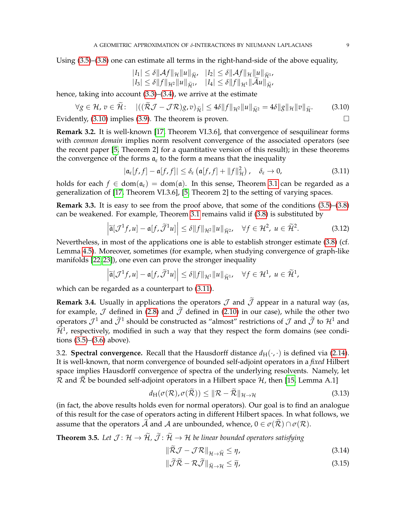Using [\(3.5\)](#page-7-1)–[\(3.8\)](#page-7-2) one can estimate all terms in the right-hand-side of the above equality,

<span id="page-8-1"></span>
$$
|I_1| \leq \delta \|\mathcal{A}f\|_{\mathcal{H}} \|u\|_{\tilde{\mathcal{H}}}, \quad |I_2| \leq \delta \|\mathcal{A}f\|_{\mathcal{H}} \|u\|_{\tilde{\mathcal{H}}^1}, |I_3| \leq \delta \|f\|_{\mathcal{H}^2} \|u\|_{\tilde{\mathcal{H}}^1}, \quad |I_4| \leq \delta \|f\|_{\mathcal{H}^1} \|\tilde{\mathcal{A}}u\|_{\tilde{\mathcal{H}}},
$$

hence, taking into account [\(3.3\)](#page-7-3)–[\(3.4\)](#page-7-4), we arrive at the estimate

$$
\forall g \in \mathcal{H}, v \in \mathcal{H}: \quad |((\mathcal{R}\mathcal{J} - \mathcal{J}\mathcal{R})g, v)_{\widetilde{\mathcal{H}}}| \le 4\delta \|f\|_{\mathcal{H}^2} \|u\|_{\widetilde{\mathcal{H}}^2} = 4\delta \|g\|_{\mathcal{H}} \|v\|_{\widetilde{\mathcal{H}}}.
$$

Evidently,  $(3.10)$  implies  $(3.9)$ . The theorem is proven.

**Remark 3.2.** It is well-known [\[17,](#page-22-18) Theorem VI.3.6], that convergence of sesquilinear forms with *common domain* implies norm resolvent convergence of the associated operators (see the recent paper [\[5,](#page-22-22) Theorem 2] for a quantitative version of this result); in these theorems the convergence of the forms  $a_{\varepsilon}$  to the form a means that the inequality

<span id="page-8-2"></span>
$$
|\mathfrak{a}_{\varepsilon}[f,f] - \mathfrak{a}[f,f]| \leq \delta_{\varepsilon} (\mathfrak{a}[f,f] + ||f||_{\mathcal{H}}^2), \quad \delta_{\varepsilon} \to 0,
$$
\n(3.11)

holds for each  $f \in dom(a_{\epsilon}) = dom(a)$ . In this sense, Theorem [3.1](#page-7-0) can be regarded as a generalization of [\[17,](#page-22-18) Theorem VI.3.6], [\[5,](#page-22-22) Theorem 2] to the setting of varying spaces.

**Remark 3.3.** It is easy to see from the proof above, that some of the conditions  $(3.5)$ – $(3.8)$ can be weakened. For example, Theorem [3.1](#page-7-0) remains valid if [\(3.8\)](#page-7-2) is substituted by

$$
\left|\widetilde{\mathfrak{a}}[\mathcal{J}^1 f, u] - \mathfrak{a}[f, \widetilde{\mathcal{J}}^1 u]\right| \leq \delta \|f\|_{\mathcal{H}^2} \|u\|_{\widetilde{\mathcal{H}}^2}, \quad \forall f \in \mathcal{H}^2, \ u \in \widetilde{\mathcal{H}}^2. \tag{3.12}
$$

Nevertheless, in most of the applications one is able to establish stronger estimate [\(3.8\)](#page-7-2) (cf. Lemma [4.5\)](#page-15-0). Moreover, sometimes (for example, when studying convergence of graph-like manifolds [\[22,](#page-22-15) [23\]](#page-22-4)), one even can prove the stronger inequality

$$
\left|\widetilde{\mathfrak{a}}[\mathcal{J}^1f,u]-\mathfrak{a}[f,\widetilde{\mathcal{J}}^1u]\right|\leq \delta\|f\|_{\mathcal{H}^1}\|u\|_{\widetilde{\mathcal{H}}^1},\quad\forall f\in\mathcal{H}^1,\;u\in\widetilde{\mathcal{H}}^1,
$$

which can be regarded as a counterpart to  $(3.11)$ .

**Remark 3.4.** Usually in applications the operators  $\mathcal J$  and  $\widetilde{\mathcal J}$  appear in a natural way (as, for example,  $J$  defined in [\(2.8\)](#page-4-1) and  $\tilde{J}$  defined in [\(2.10\)](#page-5-2) in our case), while the other two operators  $\mathcal{J}^1$  and  $\mathcal{J}^1$  should be constructed as "almost" restrictions of  $\mathcal{J}$  and  $\mathcal{J}$  to  $\mathcal{H}^1$  and  $\widetilde{\mathcal{H}}^1$ , respectively, modified in such a way that they respect the form domains (see conditions [\(3.5\)](#page-7-1)–[\(3.6\)](#page-7-6) above).

3.2. **Spectral convergence.** Recall that the Hausdorff distance  $d_H(\cdot, \cdot)$  is defined via [\(2.14\)](#page-5-3). It is well-known, that norm convergence of bounded self-adjoint operators in a *fixed* Hilbert space implies Hausdorff convergence of spectra of the underlying resolvents. Namely, let  $\mathcal R$  and  $\mathcal R$  be bounded self-adjoint operators in a Hilbert space  $\mathcal H$ , then [\[15,](#page-22-23) Lemma A.1]

<span id="page-8-3"></span>
$$
d_{\mathcal{H}}(\sigma(\mathcal{R}), \sigma(\widetilde{\mathcal{R}})) \leq \|\mathcal{R} - \widetilde{\mathcal{R}}\|_{\mathcal{H} \to \mathcal{H}}
$$
\n(3.13)

(in fact, the above results holds even for normal operators). Our goal is to find an analogue of this result for the case of operators acting in different Hilbert spaces. In what follows, we assume that the operators A and A are unbounded, whence,  $0 \in \sigma(\overline{\mathcal{R}}) \cap \sigma(\mathcal{R})$ .

<span id="page-8-0"></span>**Theorem 3.5.** Let  $\mathcal{J} : \mathcal{H} \to \widetilde{\mathcal{H}}$ ,  $\widetilde{\mathcal{J}} : \widetilde{\mathcal{H}} \to \mathcal{H}$  be linear bounded operators satisfying

<span id="page-8-5"></span><span id="page-8-4"></span>
$$
\|\mathcal{R}\mathcal{J} - \mathcal{J}\mathcal{R}\|_{\mathcal{H}\to\widetilde{\mathcal{H}}} \leq \eta,\tag{3.14}
$$

$$
\|\widetilde{\mathcal{J}}\widetilde{\mathcal{R}} - \mathcal{R}\widetilde{\mathcal{J}}\|_{\widetilde{\mathcal{H}} \to \mathcal{H}} \le \widetilde{\eta},\tag{3.15}
$$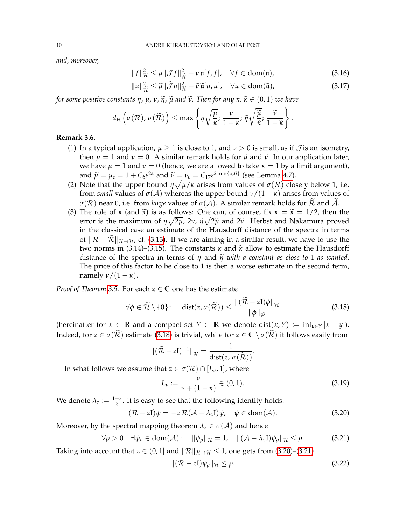*and, moreover,*

<span id="page-9-3"></span>
$$
||f||_{\mathcal{H}}^{2} \leq \mu ||\mathcal{J}f||_{\tilde{\mathcal{H}}}^{2} + \nu \mathfrak{a}[f,f], \quad \forall f \in \text{dom}(\mathfrak{a}), \tag{3.16}
$$

<span id="page-9-6"></span>
$$
||u||_{\widetilde{\mathcal{H}}}^{2} \leq \widetilde{\mu}||\widetilde{\mathcal{J}}u||_{\mathcal{H}}^{2} + \widetilde{\nu}\widetilde{\mathfrak{a}}[u,u], \quad \forall u \in \text{dom}(\widetilde{\mathfrak{a}}), \tag{3.17}
$$

*for some positive constants*  $\eta$ *,*  $\mu$ *,*  $\nu$ *,*  $\tilde{\eta}$ *,*  $\tilde{\mu}$  *and*  $\tilde{\nu}$ *. Then for any*  $\kappa$ *,*  $\tilde{\kappa} \in (0,1)$  *we have* 

$$
d_{\mathrm{H}}\left(\sigma(\mathcal{R}),\,\sigma(\widetilde{\mathcal{R}})\right)\leq \max\left\{\eta\sqrt{\frac{\mu}{\kappa}};\,\frac{\nu}{1-\kappa};\,\widetilde{\eta}\sqrt{\frac{\widetilde{\mu}}{\widetilde{\kappa}}};\,\frac{\widetilde{\nu}}{1-\widetilde{\kappa}}\right\}.
$$

#### **Remark 3.6.**

- (1) In a typical application,  $\mu > 1$  is close to 1, and  $\nu > 0$  is small, as if J is an isometry, then  $\mu = 1$  and  $\nu = 0$ . A similar remark holds for  $\tilde{\mu}$  and  $\tilde{\nu}$ . In our application later, we have  $\mu = 1$  and  $\nu = 0$  (hence, we are allowed to take  $\kappa = 1$  by a limit argument), and  $\widetilde{\mu} = \mu_{\varepsilon} = 1 + C_6 \varepsilon^{2\alpha}$  and  $\widetilde{\nu} = \nu_{\varepsilon} = C_1 \tau \varepsilon^{2 \min{\{\alpha, \beta\}}}$  (see Lemma [4.7\)](#page-19-1).
- (2) Note that the upper bound  $\eta \sqrt{\mu/\kappa}$  arises from values of  $\sigma(\mathcal{R})$  closely below 1, i.e. from *small* values of  $\sigma(\mathcal{A})$  whereas the upper bound  $\nu/(1 - \kappa)$  arises from values of  $\sigma(\mathcal{R})$  near 0, i.e. from *large* values of  $\sigma(\mathcal{A})$ . A similar remark holds for  $\mathcal{R}$  and  $\mathcal{A}$ .
- (3) The role of *κ* (and  $\tilde{\kappa}$ ) is as follows: One can, of course, fix  $\kappa = \tilde{\kappa} = 1/2$ , then the error is the maximum of  $\eta \sqrt{2\mu}$ ,  $2\nu$ ,  $\tilde{\eta} \sqrt{2\tilde{\mu}}$  and  $2\tilde{\nu}$ . Herbst and Nakamura proved<br>in the classical case an estimate of the Hausdorff distance of the spectra in terms in the classical case an estimate of the Hausdorff distance of the spectra in terms of  $\|\mathcal{R} - \mathcal{R}\|_{\mathcal{H} \to \mathcal{H}}$ , cf. [\(3.13\)](#page-8-3). If we are aiming in a similar result, we have to use the two norms in [\(3.14\)](#page-8-4)–[\(3.15\)](#page-8-5). The constants  $\kappa$  and  $\tilde{\kappa}$  allow to estimate the Hausdorff distance of the spectra in terms of  $\eta$  and  $\tilde{\eta}$  with a constant as close to 1 as wanted. The price of this factor to be close to 1 is then a worse estimate in the second term, namely  $\nu/(1 - \kappa)$ .

*Proof of Theorem* [3.5.](#page-8-0) For each  $z \in \mathbb{C}$  one has the estimate

$$
\forall \phi \in \widetilde{\mathcal{H}} \setminus \{0\}: \quad \text{dist}(z, \sigma(\widetilde{\mathcal{R}})) \le \frac{\|(\widetilde{\mathcal{R}} - zI)\phi\|_{\widetilde{\mathcal{H}}}}{\|\phi\|_{\widetilde{\mathcal{H}}}}
$$
(3.18)

(hereinafter for  $x \in \mathbb{R}$  and a compact set  $Y \subset \mathbb{R}$  we denote dist $(x, Y) := \inf_{y \in Y} |x - y|$ ). Indeed, for  $z \in \sigma(\tilde{\mathcal{R}})$  estimate [\(3.18\)](#page-9-0) is trivial, while for  $z \in \mathbb{C} \setminus \sigma(\tilde{\mathcal{R}})$  it follows easily from

<span id="page-9-0"></span>
$$
\|(\widetilde{\mathcal{R}} - zI)^{-1}\|_{\widetilde{\mathcal{H}}} = \frac{1}{\text{dist}(z, \sigma(\widetilde{\mathcal{R}}))}.
$$

In what follows we assume that  $z \in \sigma(\mathcal{R}) \cap [L_{\nu}, 1]$ , where

<span id="page-9-4"></span>
$$
L_{\nu} := \frac{\nu}{\nu + (1 - \kappa)} \in (0, 1). \tag{3.19}
$$

We denote  $\lambda_z := \frac{1-z}{z}$ . It is easy to see that the following identity holds:

$$
(\mathcal{R} - zI)\psi = -z \mathcal{R}(\mathcal{A} - \lambda_z I)\psi, \quad \psi \in \text{dom}(\mathcal{A}). \tag{3.20}
$$

Moreover, by the spectral mapping theorem  $\lambda_z \in \sigma(\mathcal{A})$  and hence

$$
\forall \rho > 0 \quad \exists \psi_{\rho} \in \text{dom}(\mathcal{A}): \quad \|\psi_{\rho}\|_{\mathcal{H}} = 1, \quad \|(\mathcal{A} - \lambda_z I)\psi_{\rho}\|_{\mathcal{H}} \le \rho. \tag{3.21}
$$

Taking into account that  $z \in (0,1]$  and  $\|\mathcal{R}\|_{\mathcal{H}\to\mathcal{H}} \leq 1$ , one gets from [\(3.20\)](#page-9-1)–[\(3.21\)](#page-9-2)

<span id="page-9-5"></span><span id="page-9-2"></span><span id="page-9-1"></span>
$$
\|(\mathcal{R} - zI)\psi_{\rho}\|_{\mathcal{H}} \leq \rho. \tag{3.22}
$$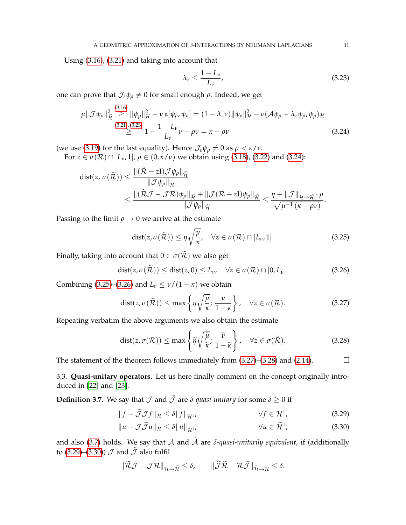Using [\(3.16\)](#page-9-3), [\(3.21\)](#page-9-2) and taking into account that

<span id="page-10-2"></span><span id="page-10-1"></span>
$$
\lambda_z \le \frac{1 - L_v}{L_v},\tag{3.23}
$$

one can prove that  $\mathcal{J}_{\varepsilon}\psi_{\rho} \neq 0$  for small enough  $\rho$ . Indeed, we get

$$
\mu \|\mathcal{J}\psi_{\rho}\|_{\tilde{\mathcal{H}}}^{2} \geq \|\psi_{\rho}\|_{\mathcal{H}}^{2} - \nu \mathfrak{a}[\psi_{\rho}, \psi_{\rho}] = (1 - \lambda_{z}\nu) \|\psi_{\rho}\|_{\mathcal{H}}^{2} - \nu(\mathcal{A}\psi_{\rho} - \lambda_{z}\psi_{\rho}, \psi_{\rho})_{\mathcal{H}}
$$
\n(3.21), (3.23)\n
$$
\geq \sum_{\mu=1}^{2} 1 - \frac{1 - L_{\nu}}{L_{\nu}} \nu - \rho \nu = \kappa - \rho \nu
$$
\n(3.24)

(we use [\(3.19\)](#page-9-4) for the last equality). Hence  $\mathcal{J}_{\varepsilon} \psi_{\rho} \neq 0$  as  $\rho < \kappa / \nu$ .

For *z* ∈ *σ*(*R*) ∩ [*L*<sub>*ν*</sub>, 1], *ρ* ∈ (0, *κ*/*ν*) we obtain using [\(3.18\)](#page-9-0), [\(3.22\)](#page-9-5) and [\(3.24\)](#page-10-2):

$$
\begin{aligned} \text{dist}(z,\,\sigma(\widetilde{\mathcal{R}})) &\leq \frac{\|(\widetilde{\mathcal{R}}-z\mathrm{I})\mathcal{J}\psi_{\rho}\|_{\widetilde{\mathcal{H}}}}{\|\mathcal{J}\psi_{\rho}\|_{\widetilde{\mathcal{H}}}} \\ &\leq \frac{\|(\widetilde{\mathcal{R}}\mathcal{J}-\mathcal{J}\mathcal{R})\psi_{\rho}\|_{\widetilde{\mathcal{H}}} + \|\mathcal{J}(\mathcal{R}-z\mathrm{I})\psi_{\rho}\|_{\widetilde{\mathcal{H}}}}{\|\mathcal{J}\psi_{\rho}\|_{\widetilde{\mathcal{H}}}} \leq \frac{\eta + \|\mathcal{J}\|_{\mathcal{H}\to\widetilde{\mathcal{H}}}\cdot\rho}{\sqrt{\mu^{-1}\left(\kappa-\rho\nu\right)}}. \end{aligned}
$$

Passing to the limit  $\rho \rightarrow 0$  we arrive at the estimate

<span id="page-10-4"></span><span id="page-10-3"></span>
$$
dist(z, \sigma(\widetilde{\mathcal{R}})) \leq \eta \sqrt{\frac{\mu}{\kappa}}, \quad \forall z \in \sigma(\mathcal{R}) \cap [L_{\nu}, 1]. \tag{3.25}
$$

Finally, taking into account that  $0 \in \sigma(\widetilde{R})$  we also get

$$
dist(z, \sigma(\tilde{\mathcal{R}})) \leq dist(z, 0) \leq L_{\nu}, \quad \forall z \in \sigma(\mathcal{R}) \cap [0, L_{\nu}]. \tag{3.26}
$$

Combining [\(3.25\)](#page-10-3)–[\(3.26\)](#page-10-4) and  $L_v \le \frac{\nu}{(1 - \kappa)}$  we obtain

<span id="page-10-5"></span>
$$
dist(z, \sigma(\widetilde{\mathcal{R}})) \le \max\left\{\eta\sqrt{\frac{\mu}{\kappa}}; \frac{\nu}{1-\kappa}\right\}, \quad \forall z \in \sigma(\mathcal{R}).\tag{3.27}
$$

Repeating verbatim the above arguments we also obtain the estimate

<span id="page-10-6"></span>
$$
dist(z, \sigma(\mathcal{R})) \le \max\left\{\widetilde{\eta}\sqrt{\frac{\widetilde{\mu}}{\widetilde{\kappa}}}; \frac{\widetilde{\nu}}{1-\widetilde{\kappa}}\right\}, \quad \forall z \in \sigma(\widetilde{\mathcal{R}}). \tag{3.28}
$$

The statement of the theorem follows immediately from  $(3.27)$ – $(3.28)$  and  $(2.14)$ .

<span id="page-10-0"></span>3.3. **Quasi-unitary operators.** Let us here finally comment on the concept originally introduced in [\[22\]](#page-22-15) and [\[23\]](#page-22-4):

**Definition 3.7.** We say that  $\mathcal J$  and  $\tilde{\mathcal J}$  are  $\delta$ -quasi-unitary for some  $\delta \geq 0$  if

<span id="page-10-7"></span>
$$
||f - \tilde{\mathcal{J}} \mathcal{J}f||_{\mathcal{H}} \le \delta ||f||_{\mathcal{H}^{1}}, \qquad \forall f \in \mathcal{H}^{1}, \qquad (3.29)
$$

<span id="page-10-8"></span>
$$
||u - J\widetilde{\mathcal{J}}u||_{\mathcal{H}} \le \delta ||u||_{\widetilde{\mathcal{H}}^{1}}, \qquad \forall u \in \widetilde{\mathcal{H}}^{1}, \qquad (3.30)
$$

and also [\(3.7\)](#page-7-7) holds. We say that A and  $\widetilde{A}$  are  $\delta$ -quasi-unitarily equivalent, if (additionally to [\(3.29\)](#page-10-7)–[\(3.30\)](#page-10-8))  $\mathcal J$  and  $\widetilde{\mathcal J}$  also fulfil

$$
\|\widetilde{\mathcal{R}}\mathcal{J}-\mathcal{J}\mathcal{R}\|_{\mathcal{H}\rightarrow \widetilde{\mathcal{H}}}\leq \delta,\qquad \|\widetilde{\mathcal{J}}\widetilde{\mathcal{R}}-\mathcal{R}\widetilde{\mathcal{J}}\|_{\widetilde{\mathcal{H}}\rightarrow \mathcal{H}}\leq \delta.
$$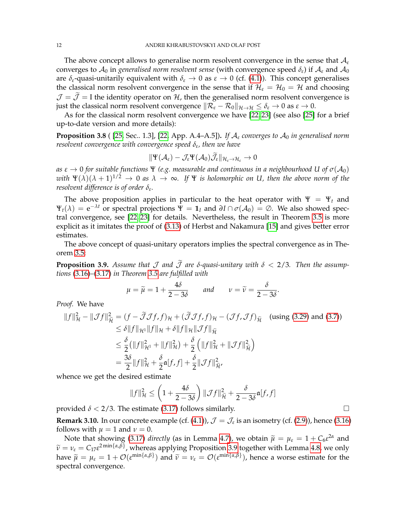The above concept allows to generalise norm resolvent convergence in the sense that A*<sup>ε</sup>* converges to  $\mathcal{A}_0$  in *generalised norm resolvent sense* (with convergence speed  $\delta_{\varepsilon}$ ) if  $\mathcal{A}_{\varepsilon}$  and  $\mathcal{A}_0$ are  $\delta_{\varepsilon}$ -quasi-unitarily equivalent with  $\delta_{\varepsilon} \to 0$  as  $\varepsilon \to 0$  (cf. [\(4.1\)](#page-12-2)). This concept generalises the classical norm resolvent convergence in the sense that if  $\mathcal{H}_{\varepsilon} = \mathcal{H}_{0} = \mathcal{H}$  and choosing  $\mathcal{J} = \tilde{\mathcal{J}} = I$  the identity operator on H, then the generalised norm resolvent convergence is just the classical norm resolvent convergence  $\|\mathcal{R}_{\varepsilon} - \mathcal{R}_{0}\|_{\mathcal{H}\to\mathcal{H}} \leq \delta_{\varepsilon} \to 0$  as  $\varepsilon \to 0$ .

As for the classical norm resolvent convergence we have [\[22,](#page-22-15) [23\]](#page-22-4) (see also [\[25\]](#page-22-24) for a brief up-to-date version and more details):

<span id="page-11-1"></span>**Proposition 3.8** ( [\[25,](#page-22-24) Sec.. 1.3], [\[22,](#page-22-15) App. A.4–A.5]). If  $A_{\varepsilon}$  converges to  $A_0$  in generalised norm *resolvent convergence with convergence speed δ<sup>ε</sup> , then we have*

$$
\|\Psi(\mathcal{A}_{\varepsilon})-\mathcal{J}_{\varepsilon}\Psi(\mathcal{A}_{0})\tilde{\mathcal{J}}_{\varepsilon}\|_{\mathcal{H}_{\varepsilon}\to\mathcal{H}_{\varepsilon}}\to 0
$$

*as*  $ε → 0$  *for suitable functions*  $Ψ$  *(e.g. measurable and continuous in a neighbourhood U of*  $σ(A_0)$ with  $\Psi(\lambda)(\lambda + 1)^{1/2} \to 0$  as  $\lambda \to \infty$ . If  $\Psi$  is holomorphic on U, then the above norm of the *resolvent difference is of order δ<sup>ε</sup> .*

The above proposition applies in particular to the heat operator with  $\Psi = \Psi_t$  and  $\Psi_t(\lambda) = e^{-\lambda t}$  or spectral projections  $\Psi = \mathbf{1}_I$  and  $\partial I \cap \sigma(\mathcal{A}_0) = \emptyset$ . We also showed spectral convergence, see [\[22,](#page-22-15) [23\]](#page-22-4) for details. Nevertheless, the result in Theorem [3.5](#page-8-0) is more explicit as it imitates the proof of [\(3.13\)](#page-8-3) of Herbst and Nakamura [\[15\]](#page-22-23) and gives better error estimates.

The above concept of quasi-unitary operators implies the spectral convergence as in Theorem [3.5:](#page-8-0)

<span id="page-11-0"></span>**Proposition 3.9.** Assume that  $\mathcal J$  and  $\tilde{\mathcal J}$  are  $\delta$ -quasi-unitary with  $\delta < 2/3$ . Then the assump*tions* [\(3.16\)](#page-9-3)*–*[\(3.17\)](#page-9-6) *in Theorem [3.5](#page-8-0) are fulfilled with*

$$
\mu = \widetilde{\mu} = 1 + \frac{4\delta}{2 - 3\delta} \quad \text{and} \quad \nu = \widetilde{\nu} = \frac{\delta}{2 - 3\delta}.
$$

*Proof.* We have

$$
||f||_{\mathcal{H}}^2 - ||\mathcal{J}f||_{\widetilde{\mathcal{H}}}^2 = (f - \widetilde{\mathcal{J}}\mathcal{J}f, f)_{\mathcal{H}} + (\widetilde{\mathcal{J}}\mathcal{J}f, f)_{\mathcal{H}} - (\mathcal{J}f, \mathcal{J}f)_{\widetilde{\mathcal{H}}}
$$
 (using (3.29) and (3.7))  
\n
$$
\leq \delta ||f||_{\mathcal{H}^1} ||f||_{\mathcal{H}} + \delta ||f||_{\mathcal{H}} ||\mathcal{J}f||_{\widetilde{\mathcal{H}}}
$$
\n
$$
\leq \frac{\delta}{2} (||f||_{\mathcal{H}^1}^2 + ||f||_{\mathcal{H}}^2) + \frac{\delta}{2} (||f||_{\mathcal{H}}^2 + ||\mathcal{J}f||_{\widetilde{\mathcal{H}}}^2)
$$
\n
$$
= \frac{3\delta}{2} ||f||_{\mathcal{H}}^2 + \frac{\delta}{2} \mathfrak{a}[f, f] + \frac{\delta}{2} ||\mathcal{J}f||_{\widetilde{\mathcal{H}}}^2,
$$

whence we get the desired estimate

$$
||f||_{\mathcal{H}}^{2} \leq \left(1 + \frac{4\delta}{2 - 3\delta}\right) ||\mathcal{J}f||_{\widetilde{\mathcal{H}}}^{2} + \frac{\delta}{2 - 3\delta}\mathfrak{a}[f, f]
$$

provided  $\delta$  < 2/3. The estimate [\(3.17\)](#page-9-6) follows similarly.

<span id="page-11-2"></span>**Remark 3.10.** In our concrete example (cf. [\(4.1\)](#page-12-2)),  $\mathcal{J} = \mathcal{J}_{\varepsilon}$  is an isometry (cf. [\(2.9\)](#page-4-2)), hence [\(3.16\)](#page-9-3) follows with  $\mu = 1$  and  $\nu = 0$ .

Note that showing [\(3.17\)](#page-9-6) *directly* (as in Lemma [4.7\)](#page-19-1), we obtain  $\tilde{\mu} = \mu_{\varepsilon} = 1 + C_6 \varepsilon^{2\alpha}$  and  $C_6 e^{2\min\{\alpha,\beta\}}$  whenese emplying Preparation 2.0 together with Lemma 4.8, we only  $\widetilde{\nu} = \nu_{\varepsilon} = C_{17} \varepsilon^{2 \min\{\alpha,\beta\}}$ , whereas applying Proposition [3.9](#page-11-0) together with Lemma [4.8,](#page-20-1) we only have  $\tilde{\mu} = \mu_{\varepsilon} = 1 + \mathcal{O}(\varepsilon^{\min\{\alpha,\beta\}})$  and  $\tilde{\nu} = \nu_{\varepsilon} = \mathcal{O}(\varepsilon^{\min\{\alpha,\beta\}})$ , hence a worse estimate for the spectral convergence.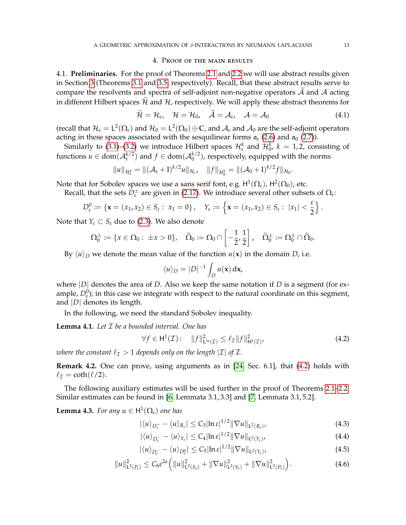#### <span id="page-12-2"></span>4. Proof of the main results

<span id="page-12-0"></span>4.1. **Preliminaries.** For the proof of Theorems [2.1](#page-5-0) and [2.2](#page-6-2) we will use abstract results given in Section [3](#page-6-0) (Theorems [3.1](#page-7-0) and [3.5,](#page-8-0) respectively). Recall, that these abstract results serve to compare the resolvents and spectra of self-adjoint non-negative operators  $\overline{A}$  and  $\overline{A}$  acting in different Hilbert spaces  $\tilde{\mathcal{H}}$  and  $\mathcal{H}$ , respectively. We will apply these abstract theorems for

$$
\widetilde{\mathcal{H}} = \mathcal{H}_{\varepsilon}, \quad \mathcal{H} = \mathcal{H}_{0}, \quad \widetilde{\mathcal{A}} = \mathcal{A}_{\varepsilon}, \quad \mathcal{A} = \mathcal{A}_{0}
$$
\n(4.1)

(recall that  $H_\varepsilon = L^2(\Omega_\varepsilon)$  and  $H_0 = L^2(\Omega_0) \oplus \mathbb{C}$ , and  $\mathcal{A}_\varepsilon$  and  $\mathcal{A}_0$  are the self-adjoint operators acting in these spaces associated with the sesquilinear forms  $a_{\varepsilon}$  [\(2.6\)](#page-3-3) and  $a_0$  [\(2.7\)](#page-4-0)).

Similarly to [\(3.1\)](#page-7-8)–[\(3.2\)](#page-7-9) we introduce Hilbert spaces  $\mathcal{H}_{\varepsilon}^{k}$  and  $\mathcal{H}_{0}^{k}$ ,  $k = 1, 2$ , consisting of functions  $u \in \text{dom}(\mathcal{A}_{\varepsilon}^{k/2})$  and  $f \in \text{dom}(\mathcal{A}_{0}^{k/2})$  $\binom{k}{0}$ , respectively, equipped with the norms

$$
||u||_{\mathcal{H}_{\varepsilon}^k} = ||(\mathcal{A}_{\varepsilon} + I)^{k/2}u||_{\mathcal{H}_{\varepsilon}}, \quad ||f||_{\mathcal{H}_{0}^k} = ||(\mathcal{A}_{0} + I)^{k/2}f||_{\mathcal{H}_{0}}.
$$

Note that for Sobolev spaces we use a sans serif font, e.g.  $\mathsf{H}^1(\Omega_\varepsilon)$ ,  $\mathsf{H}^2(\Omega_0)$ , etc.

Recall, that the sets  $\bar{D}_{\varepsilon}^{\pm}$  are given in [\(2.17\)](#page-6-6). We introduce several other subsets of  $\Omega_{\varepsilon}$ :

$$
D_{\varepsilon}^{0} := \{ \mathbf{x} = (x_1, x_2) \in S_{\varepsilon} : x_1 = 0 \}, \quad Y_{\varepsilon} := \left\{ \mathbf{x} = (x_1, x_2) \in S_{\varepsilon} : |x_1| < \frac{\varepsilon}{2} \right\}.
$$

Note that  $Y_{\varepsilon} \subset S_{\varepsilon}$  due to [\(2.3\)](#page-3-0). We also denote

$$
\Omega_0^{\pm} := \{x \in \Omega_0: \ \pm x > 0\}, \quad \widetilde{\Omega}_0 := \Omega_0 \cap \left[-\frac{1}{2},\frac{1}{2}\right], \quad \widetilde{\Omega}_0^{\pm} := \Omega_0^{\pm} \cap \widetilde{\Omega}_0.
$$

By  $\langle u \rangle_D$  we denote the mean value of the function  $u(\mathbf{x})$  in the domain *D*, i.e.

<span id="page-12-3"></span>
$$
\langle u \rangle_D = |D|^{-1} \int_D u(\mathbf{x}) \, \mathrm{d}\mathbf{x},
$$

where  $|D|$  denotes the area of *D*. Also we keep the same notation if *D* is a segment (for example,  $D_{\varepsilon}^{0}$ ); in this case we integrate with respect to the natural coordinate on this segment, and |*D*| denotes its length.

In the following, we need the standard Sobolev inequality.

<span id="page-12-8"></span>**Lemma 4.1.** *Let* I *be a bounded interval. One has*

$$
\forall f \in \mathsf{H}^1(\mathcal{I}): \quad \|f\|_{\mathsf{L}^\infty(\mathcal{I})}^2 \le \ell_{\mathcal{I}} \|f\|_{\mathsf{H}^1(\mathcal{I})}^2, \tag{4.2}
$$

*where the constant*  $\ell_{\mathcal{I}} > 1$  *depends only on the length*  $|\mathcal{I}|$  *of*  $\mathcal{I}$ *.* 

**Remark 4.2.** One can prove, using arguments as in [\[24,](#page-22-25) Sec. 6.1], that [\(4.2\)](#page-12-3) holds with  $\ell_{\mathcal{I}} = \coth(\ell/2).$ 

The following auxiliary estimates will be used further in the proof of Theorems [2.1–](#page-5-0)[2.2.](#page-6-2) Similar estimates can be found in [\[6,](#page-22-9) Lemmata 3.1, 3.3] and [\[7,](#page-22-10) Lemmata 3.1, 5.2].

<span id="page-12-1"></span>**Lemma 4.3.** *For any*  $u \in H^1(\Omega_\varepsilon)$  *one has* 

<span id="page-12-5"></span><span id="page-12-4"></span>
$$
|\langle u \rangle_{D_{\varepsilon}^+} - \langle u \rangle_{R_{\varepsilon}}| \leq C_3 |\ln \varepsilon|^{1/2} \|\nabla u\|_{\mathsf{L}^2(R_{\varepsilon})},\tag{4.3}
$$

$$
|\langle u \rangle_{D_{\varepsilon}^-} - \langle u \rangle_{\Upsilon_{\varepsilon}}| \leq C_4 |\ln \varepsilon|^{1/2} \|\nabla u\|_{\mathsf{L}^2(\Upsilon_{\varepsilon})},\tag{4.4}
$$

<span id="page-12-7"></span><span id="page-12-6"></span>
$$
|\langle u \rangle_{D_{\varepsilon}^-} - \langle u \rangle_{D_{\varepsilon}^0}| \leq C_5 |\ln \varepsilon|^{1/2} \|\nabla u\|_{\mathsf{L}^2(Y_{\varepsilon})},\tag{4.5}
$$

$$
||u||_{\mathsf{L}^{2}(P_{\varepsilon})}^{2} \leq C_{6} \varepsilon^{2\alpha} \Big( ||u||^{2}_{\mathsf{L}^{2}(S_{\varepsilon})} + ||\nabla u||^{2}_{\mathsf{L}^{2}(S_{\varepsilon})} + ||\nabla u||^{2}_{\mathsf{L}^{2}(P_{\varepsilon})} \Big). \tag{4.6}
$$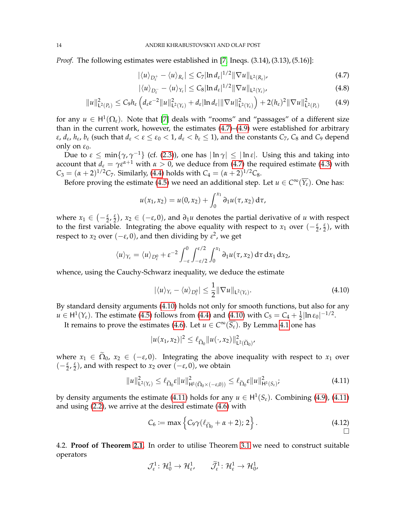*Proof.* The following estimates were established in [\[7,](#page-22-10) Ineqs. (3.14), (3.13), (5.16)]:

<span id="page-13-0"></span>
$$
|\langle u \rangle_{D_{\varepsilon}^+} - \langle u \rangle_{R_{\varepsilon}}| \leq C_7 |\ln d_{\varepsilon}|^{1/2} \|\nabla u\|_{L^2(R_{\varepsilon})},
$$
\n(4.7)

<span id="page-13-1"></span>
$$
|\langle u \rangle_{D_{\varepsilon}^-} - \langle u \rangle_{\Upsilon_{\varepsilon}}| \leq C_8 |\ln d_{\varepsilon}|^{1/2} \|\nabla u\|_{L^2(\Upsilon_{\varepsilon})},
$$
\n(4.8)

$$
||u||_{\mathsf{L}^{2}(P_{\varepsilon})}^{2} \leq C_{9}h_{\varepsilon}\left(d_{\varepsilon}\varepsilon^{-2}||u||_{\mathsf{L}^{2}(Y_{\varepsilon})}^{2} + d_{\varepsilon}|\ln d_{\varepsilon}|||\nabla u||_{\mathsf{L}^{2}(Y_{\varepsilon})}^{2}\right) + 2(h_{\varepsilon})^{2}||\nabla u||_{\mathsf{L}^{2}(P_{\varepsilon})}^{2} \qquad (4.9)
$$

for any  $u \in H^1(\Omega_\varepsilon)$ . Note that [\[7\]](#page-22-10) deals with "rooms" and "passages" of a different size than in the current work, however, the estimates [\(4.7\)](#page-13-0)–[\(4.9\)](#page-13-1) were established for arbitrary *ε*, *d*<sub>ε</sub>, *h*<sub>ε</sub>, *b*<sub>ε</sub> (such that  $d_\varepsilon < \varepsilon \leq \varepsilon_0 < 1$ ,  $d_\varepsilon < b_\varepsilon \leq 1$ ), and the constants  $C_7$ ,  $C_8$  and  $C_9$  depend only on  $ε_0$ .

Due to  $\varepsilon \le \min\{\gamma,\gamma^{-1}\}$  (cf. [\(2.3\)](#page-3-0)), one has  $|\ln \gamma| \le |\ln \varepsilon|$ . Using this and taking into account that  $d_{\varepsilon} = \gamma \varepsilon^{\alpha+1}$  with  $\alpha > 0$ , we deduce from [\(4.7\)](#page-13-0) the required estimate [\(4.3\)](#page-12-4) with  $C_3 = (\alpha + 2)^{1/2}C_7$ . Similarly, [\(4.4\)](#page-12-5) holds with  $C_4 = (\alpha + 2)^{1/2}C_8$ .

Before proving the estimate [\(4.5\)](#page-12-6) we need an additional step. Let  $u \in C^{\infty}(\overline{Y_{\varepsilon}})$ . One has:

$$
u(x_1,x_2) = u(0,x_2) + \int_0^{x_1} \partial_1 u(\tau,x_2) d\tau,
$$

where  $x_1 \in (-\frac{\varepsilon}{2}, \frac{\varepsilon}{2})$ ,  $x_2 \in (-\varepsilon, 0)$ , and  $\partial_1 u$  denotes the partial derivative of *u* with respect to the first variable. Integrating the above equality with respect to *x*<sub>1</sub> over  $\left(-\frac{\varepsilon}{2},\frac{\varepsilon}{2}\right)$ , with respect to  $x_2$  over  $(-\varepsilon, 0)$ , and then dividing by  $\varepsilon^2$ , we get

$$
\langle u \rangle_{Y_{\varepsilon}} = \langle u \rangle_{D_{\varepsilon}^0} + \varepsilon^{-2} \int_{-\varepsilon}^0 \int_{-\varepsilon/2}^{\varepsilon/2} \int_0^{x_1} \partial_1 u(\tau, x_2) \, d\tau \, dx_1 \, dx_2,
$$

whence, using the Cauchy-Schwarz inequality, we deduce the estimate

<span id="page-13-2"></span>
$$
|\langle u \rangle_{Y_{\varepsilon}} - \langle u \rangle_{D_{\varepsilon}^0}| \leq \frac{1}{2} \|\nabla u\|_{L^2(Y_{\varepsilon})}.
$$
 (4.10)

By standard density arguments [\(4.10\)](#page-13-2) holds not only for smooth functions, but also for any  $u \in H^1(Y_{\varepsilon})$ . The estimate [\(4.5\)](#page-12-6) follows from [\(4.4\)](#page-12-5) and [\(4.10\)](#page-13-2) with  $C_5 = C_4 + \frac{1}{2} |\ln \varepsilon_0|^{-1/2}$ .

It remains to prove the estimates [\(4.6\)](#page-12-7). Let  $u \in C^{\infty}(\overline{S_{\varepsilon}})$ . By Lemma [4.1](#page-12-8) one has

<span id="page-13-3"></span>
$$
|u(x_1,x_2)|^2 \leq \ell_{\widetilde{\Omega}_0} ||u(\cdot,x_2)||^2_{\mathsf{L}^2(\widetilde{\Omega}_0)'}
$$

where  $x_1 \in \tilde{\Omega}_0$ ,  $x_2 \in (-\varepsilon, 0)$ . Integrating the above inequality with respect to  $x_1$  over  $(-\frac{\varepsilon}{2}, \frac{\varepsilon}{2})$ , and with respect to *x*<sub>2</sub> over  $(-\varepsilon, 0)$ , we obtain

$$
||u||_{\mathsf{L}^{2}(\Upsilon_{\varepsilon})}^{2} \leq \ell_{\widetilde{\Omega}_{0}}\varepsilon||u||_{\mathsf{H}^{1}(\widetilde{\Omega}_{0}\times(-\varepsilon,0))}^{2} \leq \ell_{\widetilde{\Omega}_{0}}\varepsilon||u||_{\mathsf{H}^{1}(\mathsf{S}_{\varepsilon})}^{2};\tag{4.11}
$$

by density arguments the estimate [\(4.11\)](#page-13-3) holds for any  $u \in H^1(S_{\varepsilon})$ . Combining [\(4.9\)](#page-13-1), (4.11) and using [\(2.2\)](#page-2-3), we arrive at the desired estimate [\(4.6\)](#page-12-7) with

<span id="page-13-4"></span>
$$
C_6 := \max\left\{C_9\gamma(\ell_{\widetilde{\Omega}_0} + \alpha + 2); 2\right\}.
$$
\n(4.12)

4.2. **Proof of Theorem [2.1.](#page-5-0)** In order to utilise Theorem [3.1](#page-7-0) we need to construct suitable operators

$$
\mathcal{J}_{\varepsilon}^1 \colon \mathcal{H}_0^1 \to \mathcal{H}_{\varepsilon}^1, \qquad \widetilde{\mathcal{J}}_{\varepsilon}^1 \colon \mathcal{H}_{\varepsilon}^1 \to \mathcal{H}_{0}^1,
$$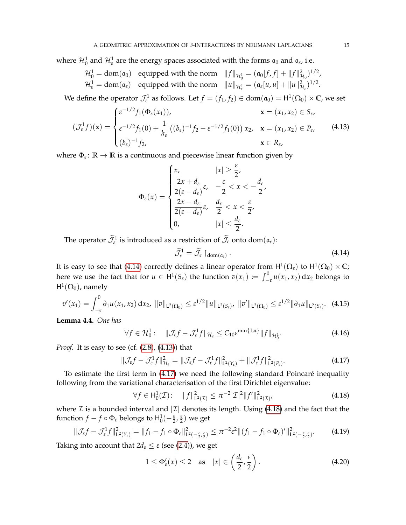where  $\mathcal{H}^1_0$  and  $\mathcal{H}^1_\varepsilon$  are the energy spaces associated with the forms  $\mathfrak{a}_0$  and  $\mathfrak{a}_\varepsilon$ , i.e.

 $\mathcal{H}_0^1 = \text{dom}(\mathfrak{a}_0)$  equipped with the norm  $||f||_{\mathcal{H}_0^1} = (\mathfrak{a}_0[f, f] + ||f||_{\mathcal{H}_0}^2)^{1/2}$ ,  $\mathcal{H}_{\varepsilon}^1 = \text{dom}(\mathfrak{a}_{\varepsilon})$  equipped with the norm  $||u||_{\mathcal{H}_{\varepsilon}^1} = (\mathfrak{a}_{\varepsilon}[u, u] + ||u||_{\mathcal{H}_{\varepsilon}}^2)^{1/2}$ .

We define the operator  $\mathcal{J}_{\varepsilon}^1$  as follows. Let  $f = (f_1, f_2) \in \text{dom}(\mathfrak{a}_0) = \text{H}^1(\Omega_0) \times \mathbb{C}$ , we set

$$
(\mathcal{J}_{\varepsilon}^{1} f)(\mathbf{x}) = \begin{cases} \varepsilon^{-1/2} f_{1}(\Phi_{\varepsilon}(x_{1})), & \mathbf{x} = (x_{1}, x_{2}) \in S_{\varepsilon}, \\ \varepsilon^{-1/2} f_{1}(0) + \frac{1}{h_{\varepsilon}} \left( (b_{\varepsilon})^{-1} f_{2} - \varepsilon^{-1/2} f_{1}(0) \right) x_{2}, & \mathbf{x} = (x_{1}, x_{2}) \in P_{\varepsilon}, \\ (b_{\varepsilon})^{-1} f_{2}, & \mathbf{x} \in R_{\varepsilon}, \end{cases}
$$
(4.13)

where  $\Phi_{\varepsilon} \colon \mathbb{R} \to \mathbb{R}$  is a continuous and piecewise linear function given by

<span id="page-14-1"></span>
$$
\Phi_{\varepsilon}(x) = \begin{cases} x, & |x| \geq \frac{\varepsilon}{2}, \\ \frac{2x + d_{\varepsilon}}{2(\varepsilon - d_{\varepsilon})} \varepsilon, & -\frac{\varepsilon}{2} < x < -\frac{d_{\varepsilon}}{2}, \\ \frac{2x - d_{\varepsilon}}{2(\varepsilon - d_{\varepsilon})} \varepsilon, & \frac{d_{\varepsilon}}{2} < x < \frac{\varepsilon}{2}, \\ 0, & |x| \leq \frac{d_{\varepsilon}}{2}. \end{cases}
$$

The operator  $\widetilde{\mathcal{J}}_{\varepsilon}^1$  is introduced as a restriction of  $\widetilde{\mathcal{J}}_{\varepsilon}$  onto dom $(\mathfrak{a}_{\varepsilon})$ :

<span id="page-14-7"></span><span id="page-14-6"></span><span id="page-14-2"></span><span id="page-14-0"></span>
$$
\widetilde{\mathcal{J}}_{\varepsilon}^1 = \widetilde{\mathcal{J}}_{\varepsilon} \upharpoonright_{\text{dom}(\mathfrak{a}_{\varepsilon})} . \tag{4.14}
$$

It is easy to see that [\(4.14\)](#page-14-0) correctly defines a linear operator from  $\mathsf{H}^1(\Omega_\varepsilon)$  to  $\mathsf{H}^1(\Omega_0)\times\mathbb{C};$ here we use the fact that for  $u \in H^1(S_\varepsilon)$  the function  $v(x_1) := \int_{-\varepsilon}^0 u(x_1, x_2) dx_2$  belongs to  $\mathsf{H}^1(\Omega_0)$ , namely

$$
v'(x_1) = \int_{-\varepsilon}^0 \partial_1 u(x_1, x_2) \, dx_2, \quad \|v\|_{\mathsf{L}^2(\Omega_0)} \leq \varepsilon^{1/2} \|u\|_{\mathsf{L}^2(S_\varepsilon)}, \quad \|v'\|_{\mathsf{L}^2(\Omega_0)} \leq \varepsilon^{1/2} \|\partial_1 u\|_{\mathsf{L}^2(S_\varepsilon)}.
$$
 (4.15)

<span id="page-14-8"></span>**Lemma 4.4.** *One has*

$$
\forall f \in \mathcal{H}_0^1: \quad \|\mathcal{J}_{\varepsilon}f - \mathcal{J}_{\varepsilon}^1f\|_{\mathcal{H}_{\varepsilon}} \leq C_{10} \varepsilon^{\min\{1,\alpha\}} \|f\|_{\mathcal{H}_0^1}.
$$

*Proof.* It is easy to see (cf.  $(2.8)$ ,  $(4.13)$ ) that

$$
\|\mathcal{J}_{\varepsilon}f-\mathcal{J}_{\varepsilon}^1f\|_{\mathcal{H}_{\varepsilon}}^2=\|\mathcal{J}_{\varepsilon}f-\mathcal{J}_{\varepsilon}^1f\|_{\mathsf{L}^2(\mathbb{Y}_{\varepsilon})}^2+\|\mathcal{J}_{\varepsilon}^1f\|_{\mathsf{L}^2(\mathbb{P}_{\varepsilon})}^2.
$$
\n(4.17)

To estimate the first term in [\(4.17\)](#page-14-2) we need the following standard Poincare inequality ´ following from the variational characterisation of the first Dirichlet eigenvalue:

<span id="page-14-3"></span>
$$
\forall f \in H_0^1(\mathcal{I}): \quad \|f\|_{\mathsf{L}^2(\mathcal{I})}^2 \le \pi^{-2} |\mathcal{I}|^2 \|f'\|_{\mathsf{L}^2(\mathcal{I})}^2, \tag{4.18}
$$

where  $\mathcal I$  is a bounded interval and  $|\mathcal I|$  denotes its length. Using [\(4.18\)](#page-14-3) and the fact that the function  $f - f \circ \Phi_{\varepsilon}$  belongs to  $H_0^1(-\frac{\varepsilon}{2}, \frac{\varepsilon}{2})$  we get

$$
\|\mathcal{J}_{\varepsilon}f-\mathcal{J}_{\varepsilon}^1f\|_{\mathsf{L}^2(\Upsilon_{\varepsilon})}^2=\|f_1-f_1\circ\Phi_{\varepsilon}\|_{\mathsf{L}^2(-\frac{\varepsilon}{2},\frac{\varepsilon}{2})}^2\leq \pi^{-2}\varepsilon^2\|(f_1-f_1\circ\Phi_{\varepsilon})'\|_{\mathsf{L}^2(-\frac{\varepsilon}{2},\frac{\varepsilon}{2})}^2. \tag{4.19}
$$

Taking into account that  $2d_{\varepsilon} \leq \varepsilon$  (see [\(2.4\)](#page-3-1)), we get

<span id="page-14-5"></span><span id="page-14-4"></span>
$$
1 \leq \Phi_{\varepsilon}'(x) \leq 2 \quad \text{as} \quad |x| \in \left(\frac{d_{\varepsilon}}{2}, \frac{\varepsilon}{2}\right). \tag{4.20}
$$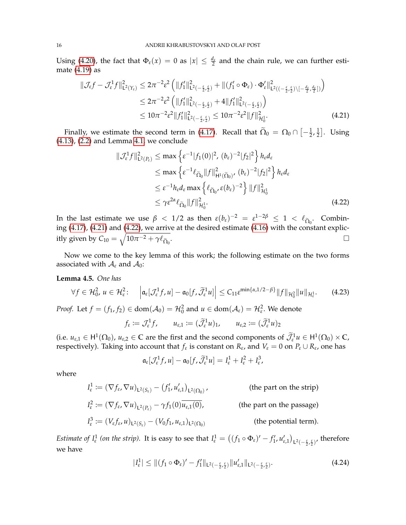Using [\(4.20\)](#page-14-4), the fact that  $\Phi_{\varepsilon}(x) = 0$  as  $|x| \leq \frac{d_{\varepsilon}}{2}$  and the chain rule, we can further estimate [\(4.19\)](#page-14-5) as

$$
\begin{split} \|\mathcal{J}_{\varepsilon}f - \mathcal{J}_{\varepsilon}^{1}f\|_{\mathsf{L}^{2}(Y_{\varepsilon})}^{2} &\leq 2\pi^{-2}\varepsilon^{2}\left(\|f_{1}'\|_{\mathsf{L}^{2}(-\frac{\varepsilon}{2},\frac{\varepsilon}{2})}^{2} + \|(f_{1}'\circ\Phi_{\varepsilon})\cdot\Phi_{\varepsilon}'\|_{\mathsf{L}^{2}((-\frac{\varepsilon}{2},\frac{\varepsilon}{2})\setminus[-\frac{d_{\varepsilon}}{2},\frac{d_{\varepsilon}}{2}])}\right) \\ &\leq 2\pi^{-2}\varepsilon^{2}\left(\|f_{1}'\|_{\mathsf{L}^{2}(-\frac{\varepsilon}{2},\frac{\varepsilon}{2})}^{2} + 4\|f_{1}'\|_{\mathsf{L}^{2}(-\frac{\varepsilon}{2},\frac{\varepsilon}{2})}\right) \\ &\leq 10\pi^{-2}\varepsilon^{2}\|f_{1}'\|_{\mathsf{L}^{2}(-\frac{\varepsilon}{2},\frac{\varepsilon}{2})}^{2} \leq 10\pi^{-2}\varepsilon^{2}\|f\|_{\mathcal{H}_{0}^{1}}^{2}.\end{split} \tag{4.21}
$$

Finally, we estimate the second term in [\(4.17\)](#page-14-2). Recall that  $\widetilde{\Omega}_0 = \Omega_0 \cap \left[ -\frac{1}{2}, \frac{1}{2} \right]$  $\frac{1}{2}$ . Using [\(4.13\)](#page-14-1), [\(2.2\)](#page-2-3) and Lemma [4.1,](#page-12-8) we conclude

<span id="page-15-2"></span><span id="page-15-1"></span>
$$
\|\mathcal{J}_{\varepsilon}^{1}f\|_{\mathsf{L}^{2}(P_{\varepsilon})}^{2} \leq \max \left\{ \varepsilon^{-1}|f_{1}(0)|^{2}, (b_{\varepsilon})^{-2}|f_{2}|^{2} \right\} h_{\varepsilon} d_{\varepsilon}
$$
  
\n
$$
\leq \max \left\{ \varepsilon^{-1}\ell_{\widetilde{\Omega}_{0}}\|f\|_{\mathsf{H}^{1}(\widetilde{\Omega}_{0})}^{2}, (b_{\varepsilon})^{-2}|f_{2}|^{2} \right\} h_{\varepsilon} d_{\varepsilon}
$$
  
\n
$$
\leq \varepsilon^{-1} h_{\varepsilon} d_{\varepsilon} \max \left\{ \ell_{\widetilde{\Omega}_{0}}, \varepsilon(b_{\varepsilon})^{-2} \right\} \|f\|_{\mathcal{H}_{0}^{1}}^{2}
$$
  
\n
$$
\leq \gamma \varepsilon^{2\alpha} \ell_{\widetilde{\Omega}_{0}} \|f\|_{\mathcal{H}_{0}^{1}}^{2}. \tag{4.22}
$$

In the last estimate we use  $\beta < 1/2$  as then  $\varepsilon(b_{\varepsilon})^{-2} = \varepsilon^{1-2\beta} \le 1 < \ell_{\tilde{\Omega}_0}$ . Combin-ing [\(4.17\)](#page-14-2), [\(4.21\)](#page-15-1) and [\(4.22\)](#page-15-2), we arrive at the desired estimate [\(4.16\)](#page-14-6) with the constant explicitly given by  $C_{10} = \sqrt{10\pi^{-2} + \gamma\ell_{\widetilde{\Omega}_0}}$ .<br>1980 - Johann Stein, Amerikaansk politiker († 1905)<br>1980 - Johann Stein, Amerikaansk politiker († 1906)

Now we come to the key lemma of this work; the following estimate on the two forms associated with  $A_{\varepsilon}$  and  $A_0$ :

### <span id="page-15-0"></span>**Lemma 4.5.** *One has*

$$
\forall f \in \mathcal{H}_0^2, u \in \mathcal{H}_\varepsilon^2: \quad \left| \mathfrak{a}_\varepsilon[\mathcal{J}_\varepsilon^1 f, u] - \mathfrak{a}_0[f, \widetilde{\mathcal{J}}_\varepsilon^1 u] \right| \leq C_{11} \varepsilon^{\min\{\alpha, 1/2 - \beta\}} \|f\|_{\mathcal{H}_0^2} \|u\|_{\mathcal{H}_\varepsilon^1}.
$$
 (4.23)

*Proof.* Let  $f = (f_1, f_2) \in \text{dom}(\mathcal{A}_0) = \mathcal{H}_0^2$  and  $u \in \text{dom}(\mathcal{A}_{\varepsilon}) = \mathcal{H}_{\varepsilon}^2$ . We denote

$$
f_{\varepsilon} := \mathcal{J}_{\varepsilon}^1 f, \qquad u_{\varepsilon,1} := (\widetilde{\mathcal{J}}_{\varepsilon}^1 u)_1, \qquad u_{\varepsilon,2} := (\widetilde{\mathcal{J}}_{\varepsilon}^1 u)_2
$$

(i.e.  $u_{\varepsilon,1} \in H^1(\Omega_0)$ ,  $u_{\varepsilon,2} \in \mathbb{C}$  are the first and the second components of  $\mathcal{J}_{\varepsilon}^1 u \in H^1(\Omega_0) \times \mathbb{C}$ , respectively). Taking into account that  $f_{\varepsilon}$  is constant on  $R_{\varepsilon}$ , and  $V_{\varepsilon} = 0$  on  $P_{\varepsilon} \cup R_{\varepsilon}$ , one has

<span id="page-15-4"></span>
$$
\mathfrak{a}_{\varepsilon}[\mathcal{J}_{\varepsilon}^1 f, u] - \mathfrak{a}_0[f, \widetilde{\mathcal{J}}_{\varepsilon}^1 u] = I_{\varepsilon}^1 + I_{\varepsilon}^2 + I_{\varepsilon}^3,
$$

where

$$
I_{\varepsilon}^{1} := (\nabla f_{\varepsilon}, \nabla u)_{L^{2}(S_{\varepsilon})} - (f'_{1}, u'_{\varepsilon,1})_{L^{2}(\Omega_{0})}, \qquad \text{(the part on the strip)}
$$
\n
$$
I_{\varepsilon}^{2} := (\nabla f_{\varepsilon}, \nabla u)_{L^{2}(P_{\varepsilon})} - \gamma f_{1}(0) \overline{u_{\varepsilon,1}(0)}, \qquad \text{(the part on the passage)}
$$
\n
$$
I_{\varepsilon}^{3} := (V_{\varepsilon} f_{\varepsilon}, u)_{L^{2}(S_{\varepsilon})} - (V_{0} f_{1}, u_{\varepsilon,1})_{L^{2}(\Omega_{0})} \qquad \text{(the potential term)}.
$$

*Estimate of*  $I^1_\varepsilon$  *(on the strip).* It is easy to see that  $I^1_\varepsilon = ((f_1 \circ \Phi_\varepsilon)' - f'_1, u'_{\varepsilon,1})_{L^2(-\frac{\varepsilon}{2}, \frac{\varepsilon}{2})'}$ , therefore we have

<span id="page-15-3"></span>
$$
|I_{\varepsilon}^{1}| \leq ||(f_{1} \circ \Phi_{\varepsilon})' - f_{1}'||_{\mathsf{L}^{2}(-\frac{\varepsilon}{2},\frac{\varepsilon}{2})} ||u_{\varepsilon,1}'||_{\mathsf{L}^{2}(-\frac{\varepsilon}{2},\frac{\varepsilon}{2})}.
$$
\n(4.24)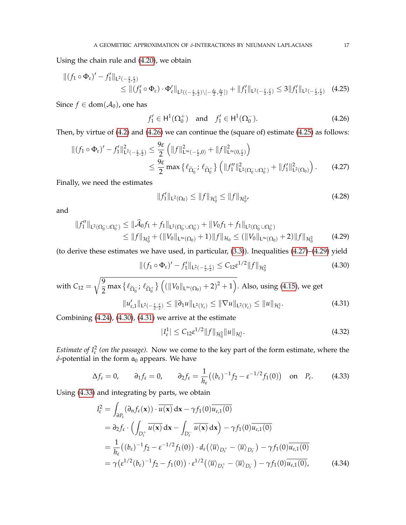Using the chain rule and [\(4.20\)](#page-14-4), we obtain

$$
\begin{split} \|(f_1 \circ \Phi_{\varepsilon})' - f_1'\|_{\mathsf{L}^2(-\frac{\varepsilon}{2},\frac{\varepsilon}{2})} \\ &\leq \|(f_1' \circ \Phi_{\varepsilon}) \cdot \Phi_{\varepsilon}'\|_{\mathsf{L}^2((-\frac{\varepsilon}{2},\frac{\varepsilon}{2}) \setminus [-\frac{d_{\varepsilon}}{2},\frac{d_{\varepsilon}}{2}])} + \|f_1'\|_{\mathsf{L}^2(-\frac{\varepsilon}{2},\frac{\varepsilon}{2})} \leq 3\|f_1'\|_{\mathsf{L}^2(-\frac{\varepsilon}{2},\frac{\varepsilon}{2})} \end{split} \tag{4.25}
$$

Since  $f \in \text{dom}(\mathcal{A}_0)$ , one has

<span id="page-16-1"></span><span id="page-16-0"></span>
$$
f'_1 \in H^1(\Omega_0^+) \text{ and } f'_1 \in H^1(\Omega_0^-).
$$
 (4.26)

Then, by virtue of [\(4.2\)](#page-12-3) and [\(4.26\)](#page-16-0) we can continue the (square of) estimate [\(4.25\)](#page-16-1) as follows:

$$
\begin{split} \|(f_1 \circ \Phi_{\varepsilon})' - f_1'\|_{\mathsf{L}^2(-\frac{\varepsilon}{2}, \frac{\varepsilon}{2})}^2 &\leq \frac{9\varepsilon}{2} \left( \|f\|_{\mathsf{L}^\infty(-\frac{\varepsilon}{2}, 0)}^2 + \|f\|_{\mathsf{L}^\infty(0, \frac{\varepsilon}{2})}^2 \right) \\ &\leq \frac{9\varepsilon}{2} \max \left\{ \ell_{\widetilde{\Omega}_0^-} ; \ell_{\widetilde{\Omega}_0^+} \right\} \left( \|f_1''\|_{\mathsf{L}^2(\Omega_0^- \cup \Omega_0^+)}^2 + \|f_1'\|_{\mathsf{L}^2(\Omega_0)}^2 \right). \end{split} \tag{4.27}
$$

Finally, we need the estimates

<span id="page-16-3"></span><span id="page-16-2"></span>
$$
||f_1'||_{\mathsf{L}^2(\Omega_0)} \le ||f||_{\mathcal{H}_0^1} \le ||f||_{\mathcal{H}_0^2},\tag{4.28}
$$

and

$$
||f''_1||_{L^2(\Omega_0^- \cup \Omega_0^+)} \le ||\widehat{\mathcal{A}}_0 f_1 + f_1||_{L^2(\Omega_0^- \cup \Omega_0^+)} + ||V_0 f_1 + f_1||_{L^2(\Omega_0^- \cup \Omega_0^+)}\le ||f||_{\mathcal{H}_0^2} + (||V_0||_{L^{\infty}(\Omega_0)} + 1)||f||_{\mathcal{H}_0} \le (||V_0||_{L^{\infty}(\Omega_0)} + 2)||f||_{\mathcal{H}_0^2}
$$
(4.29)

(to derive these estimates we have used, in particular, [\(3.3\)](#page-7-3)). Inequalities [\(4.27\)](#page-16-2)–[\(4.29\)](#page-16-3) yield

$$
\| (f_1 \circ \Phi_{\varepsilon})' - f_1' \|_{\mathsf{L}^2(-\frac{\varepsilon}{2}, \frac{\varepsilon}{2})} \le C_{12} \varepsilon^{1/2} \| f \|_{\mathcal{H}^2_0}
$$
(4.30)

with 
$$
C_{12} = \sqrt{\frac{9}{2} \max \{ \ell_{\tilde{\Omega}_0^-}; \ell_{\tilde{\Omega}_0^+} \} \left( (\|V_0\|_{L^\infty(\Omega_0)} + 2)^2 + 1 \right)}
$$
. Also, using (4.15), we get  
\n
$$
\|u'_{\varepsilon,1}\|_{L^2(-\frac{\varepsilon}{2},\frac{\varepsilon}{2})} \le \|\partial_1 u\|_{L^2(Y_{\varepsilon})} \le \|\nabla u\|_{L^2(Y_{\varepsilon})} \le \|u\|_{\mathcal{H}^1_{\varepsilon}}.
$$
\n(4.31)

Combining [\(4.24\)](#page-15-3), [\(4.30\)](#page-16-4), [\(4.31\)](#page-16-5) we arrive at the estimate

<span id="page-16-8"></span><span id="page-16-7"></span><span id="page-16-6"></span><span id="page-16-5"></span><span id="page-16-4"></span>
$$
|I_{\varepsilon}^{1}| \leq C_{12} \varepsilon^{1/2} \|f\|_{\mathcal{H}_{0}^{2}} \|u\|_{\mathcal{H}_{\varepsilon}^{1}}.
$$
\n(4.32)

*Estimate of*  $I_{\varepsilon}^2$  *(on the passage).* Now we come to the key part of the form estimate, where the  $\delta$ -potential in the form  $a_0$  appears. We have

$$
\Delta f_{\varepsilon} = 0, \qquad \partial_1 f_{\varepsilon} = 0, \qquad \partial_2 f_{\varepsilon} = \frac{1}{h_{\varepsilon}} \big( (b_{\varepsilon})^{-1} f_2 - \varepsilon^{-1/2} f_1(0) \big) \quad \text{on} \quad P_{\varepsilon}.
$$
 (4.33)

Using [\(4.33\)](#page-16-6) and integrating by parts, we obtain

$$
I_{\varepsilon}^{2} = \int_{\partial P_{\varepsilon}} (\partial_{\mathbf{n}} f_{\varepsilon}(\mathbf{x})) \cdot \overline{u(\mathbf{x})} \, d\mathbf{x} - \gamma f_{1}(0) \overline{u_{\varepsilon,1}(0)}
$$
  
\n
$$
= \partial_{2} f_{\varepsilon} \cdot \left( \int_{D_{\varepsilon}^{+}} \overline{u(\mathbf{x})} \, d\mathbf{x} - \int_{D_{\varepsilon}^{-}} \overline{u(\mathbf{x})} \, d\mathbf{x} \right) - \gamma f_{1}(0) \overline{u_{\varepsilon,1}(0)}
$$
  
\n
$$
= \frac{1}{h_{\varepsilon}} \left( (b_{\varepsilon})^{-1} f_{2} - \varepsilon^{-1/2} f_{1}(0) \right) \cdot d_{\varepsilon} \left( \langle \overline{u} \rangle_{D_{\varepsilon}^{+}} - \langle \overline{u} \rangle_{D_{\varepsilon}^{-}} \right) - \gamma f_{1}(0) \overline{u_{\varepsilon,1}(0)}
$$
  
\n
$$
= \gamma \left( \varepsilon^{1/2} (b_{\varepsilon})^{-1} f_{2} - f_{1}(0) \right) \cdot \varepsilon^{1/2} \left( \langle \overline{u} \rangle_{D_{\varepsilon}^{+}} - \langle \overline{u} \rangle_{D_{\varepsilon}^{-}} \right) - \gamma f_{1}(0) \overline{u_{\varepsilon,1}(0)}, \tag{4.34}
$$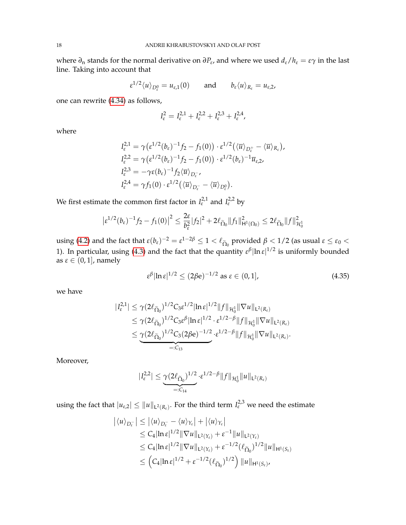where *∂*<sup>n</sup> stands for the normal derivative on *∂P<sup>ε</sup>* , and where we used *dε*/*h<sup>ε</sup>* = *εγ* in the last line. Taking into account that

$$
\varepsilon^{1/2}\langle u \rangle_{D^0_\varepsilon} = u_{\varepsilon,1}(0) \quad \text{and} \quad b_\varepsilon \langle u \rangle_{R_\varepsilon} = u_{\varepsilon,2},
$$

one can rewrite [\(4.34\)](#page-16-7) as follows,

$$
I_{\varepsilon}^2 = I_{\varepsilon}^{2,1} + I_{\varepsilon}^{2,2} + I_{\varepsilon}^{2,3} + I_{\varepsilon}^{2,4},
$$

where

$$
I_{\varepsilon}^{2,1} = \gamma (\varepsilon^{1/2} (b_{\varepsilon})^{-1} f_2 - f_1(0)) \cdot \varepsilon^{1/2} (\langle \overline{u} \rangle_{D_{\varepsilon}^+} - \langle \overline{u} \rangle_{R_{\varepsilon}}),
$$
  
\n
$$
I_{\varepsilon}^{2,2} = \gamma (\varepsilon^{1/2} (b_{\varepsilon})^{-1} f_2 - f_1(0)) \cdot \varepsilon^{1/2} (b_{\varepsilon})^{-1} \overline{u}_{\varepsilon,2},
$$
  
\n
$$
I_{\varepsilon}^{2,3} = -\gamma \varepsilon (b_{\varepsilon})^{-1} f_2 \langle \overline{u} \rangle_{D_{\varepsilon}^-},
$$
  
\n
$$
I_{\varepsilon}^{2,4} = \gamma f_1(0) \cdot \varepsilon^{1/2} (\langle \overline{u} \rangle_{D_{\varepsilon}^-} - \langle \overline{u} \rangle_{D_{\varepsilon}^0}).
$$

We first estimate the common first factor in  $I_{\varepsilon}^{2,1}$  and  $I_{\varepsilon}^{2,2}$  by

$$
\left|\varepsilon^{1/2}(b_{\varepsilon})^{-1}f_2 - f_1(0)\right|^2 \leq \frac{2\varepsilon}{b_{\varepsilon}^2}|f_2|^2 + 2\ell_{\widetilde{\Omega}_0} \|f_1\|_{\mathsf{H}^1(\Omega_0)}^2 \leq 2\ell_{\widetilde{\Omega}_0} \|f\|_{\mathcal{H}_0^1}^2
$$

using [\(4.2\)](#page-12-3) and the fact that  $\varepsilon(b_{\varepsilon})^{-2} = \varepsilon^{1-2\beta} \le 1 < l_{\Omega_0}$  provided  $\beta < 1/2$  (as usual  $\varepsilon \le \varepsilon_0 <$ 1). In particular, using [\(4.3\)](#page-12-4) and the fact that the quantity  $\varepsilon^{\beta}|\ln \varepsilon|^{1/2}$  is uniformly bounded as  $\varepsilon \in (0, 1]$ , namely

<span id="page-17-0"></span>
$$
\varepsilon^{\beta}|\ln \varepsilon|^{1/2} \le (2\beta e)^{-1/2} \text{ as } \varepsilon \in (0, 1], \tag{4.35}
$$

we have

$$
\begin{split} |I_{\varepsilon}^{2,1}| &\leq \gamma (2\ell_{\widetilde{\Omega}_{0}})^{1/2} C_{3} \varepsilon^{1/2} |\ln \varepsilon|^{1/2} \|f\|_{\mathcal{H}_{0}^{1}} \|\nabla u\|_{\mathsf{L}^{2}(R_{\varepsilon})} \\ &\leq \gamma (2\ell_{\widetilde{\Omega}_{0}})^{1/2} C_{3} \varepsilon^{\beta} |\ln \varepsilon|^{1/2} \cdot \varepsilon^{1/2-\beta} \|f\|_{\mathcal{H}_{0}^{1}} \|\nabla u\|_{\mathsf{L}^{2}(R_{\varepsilon})} \\ &\leq \underbrace{\gamma (2\ell_{\widetilde{\Omega}_{0}})^{1/2} C_{3} (2\beta \mathrm{e})^{-1/2}}_{=:C_{13}} \cdot \varepsilon^{1/2-\beta} \|f\|_{\mathcal{H}_{0}^{1}} \|\nabla u\|_{\mathsf{L}^{2}(R_{\varepsilon})}. \end{split}
$$

Moreover,

$$
|I_{\varepsilon}^{2,2}| \leq \underbrace{\gamma(2\ell_{\widetilde{\Omega}_{0}})^{1/2} \cdot \varepsilon^{1/2-\beta}}_{=:C_{14}} \|f\|_{\mathcal{H}_0^1} \|u\|_{L^2(R_{\varepsilon})}
$$

using the fact that  $|u_{\varepsilon,2}| \le ||u||_{L^2(R_{\varepsilon})}$ . For the third term  $I_{\varepsilon}^{2,3}$  we need the estimate

$$
\begin{aligned} \left| \langle u \rangle_{D_{\varepsilon}^-} \right| &\leq \left| \langle u \rangle_{D_{\varepsilon}^-} - \langle u \rangle_{Y_{\varepsilon}} \right| + \left| \langle u \rangle_{Y_{\varepsilon}} \right| \\ &\leq C_4 |\ln \varepsilon|^{1/2} \|\nabla u\|_{L^2(Y_{\varepsilon})} + \varepsilon^{-1} \|u\|_{L^2(Y_{\varepsilon})} \\ &\leq C_4 |\ln \varepsilon|^{1/2} \|\nabla u\|_{L^2(Y_{\varepsilon})} + \varepsilon^{-1/2} (\ell_{\widetilde{\Omega}_0})^{1/2} \|u\|_{H^1(S_{\varepsilon})} \\ &\leq \left( C_4 |\ln \varepsilon|^{1/2} + \varepsilon^{-1/2} (\ell_{\widetilde{\Omega}_0})^{1/2} \right) \|u\|_{H^1(S_{\varepsilon})}, \end{aligned}
$$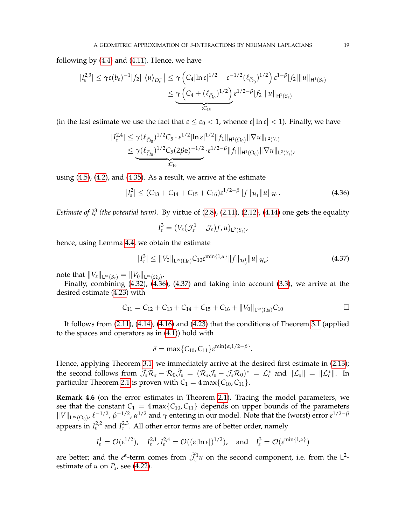following by [\(4.4\)](#page-12-5) and [\(4.11\)](#page-13-3). Hence, we have

$$
|I_{\varepsilon}^{2,3}| \leq \gamma \varepsilon (b_{\varepsilon})^{-1} |f_{2}| |\langle u \rangle_{D_{\varepsilon}^{-}}| \leq \gamma \left( C_{4} |\ln \varepsilon|^{1/2} + \varepsilon^{-1/2} (\ell_{\widetilde{\Omega}_{0}})^{1/2} \right) \varepsilon^{1-\beta} |f_{2}| \|u\|_{H^{1}(S_{\varepsilon})}
$$
  

$$
\leq \underbrace{\gamma \left( C_{4} + (\ell_{\widetilde{\Omega}_{0}})^{1/2} \right)}_{=:C_{15}} \varepsilon^{1/2-\beta} |f_{2}| \|u\|_{H^{1}(S_{\varepsilon})}
$$

(in the last estimate we use the fact that  $\varepsilon \leq \varepsilon_0 < 1$ , whence  $\varepsilon |\ln \varepsilon| < 1$ ). Finally, we have

$$
|I_{\varepsilon}^{2,4}| \leq \gamma(\ell_{\widetilde{\Omega}_{0}})^{1/2}C_{5} \cdot \varepsilon^{1/2} |\ln \varepsilon|^{1/2} \|f_{1}\|_{H^{1}(\Omega_{0})} \|\nabla u\|_{L^{2}(Y_{\varepsilon})}
$$
  

$$
\leq \underbrace{\gamma(\ell_{\widetilde{\Omega}_{0}})^{1/2}C_{5}(2\beta e)^{-1/2}}_{=:C_{16}} \cdot \varepsilon^{1/2-\beta} \|f_{1}\|_{H^{1}(\Omega_{0})} \|\nabla u\|_{L^{2}(Y_{\varepsilon})},
$$

using [\(4.5\)](#page-12-6), [\(4.2\)](#page-12-3), and [\(4.35\)](#page-17-0). As a result, we arrive at the estimate

$$
|I_{\varepsilon}^{2}| \leq (C_{13} + C_{14} + C_{15} + C_{16})\varepsilon^{1/2-\beta} \|f\|_{\mathcal{H}_{1}} \|u\|_{\mathcal{H}_{1}}.
$$
 (4.36)

*Estimate of*  $I_{\varepsilon}^{3}$  (*the potential term*). By virtue of [\(2.8\)](#page-4-1), [\(2.11\)](#page-5-4), [\(2.12\)](#page-5-5), [\(4.14\)](#page-14-0) one gets the equality

<span id="page-18-1"></span>
$$
I_{\varepsilon}^3=(V_{\varepsilon}(\mathcal{J}_{\varepsilon}^1-\mathcal{J}_{\varepsilon})f,u)_{L^2(S_{\varepsilon})},
$$

hence, using Lemma [4.4,](#page-14-8) we obtain the estimate

$$
|I_{\varepsilon}^3| \leq \|V_0\|_{\mathsf{L}^\infty(\Omega_0)} C_{10} \varepsilon^{\min\{1,\alpha\}} \|f\|_{\mathcal{H}_0^1} \|u\|_{\mathcal{H}_{\varepsilon}}; \tag{4.37}
$$

note that  $\|V_{\varepsilon}\|_{\mathsf{L}^{\infty}(S_{\varepsilon})} = \|V_0\|_{\mathsf{L}^{\infty}(\Omega_0)}.$ 

Finally, combining  $(4.32)$ ,  $(4.36)$ ,  $(4.37)$  and taking into account  $(3.3)$ , we arrive at the desired estimate [\(4.23\)](#page-15-4) with

$$
C_{11}=C_{12}+C_{13}+C_{14}+C_{15}+C_{16}+\|V_0\|_{L^\infty(\Omega_0)}C_{10}\qquad \qquad \Box
$$

<span id="page-18-2"></span>.

It follows from [\(2.11\)](#page-5-4), [\(4.14\)](#page-14-0), [\(4.16\)](#page-14-6) and [\(4.23\)](#page-15-4) that the conditions of Theorem [3.1](#page-7-0) (applied to the spaces and operators as in [\(4.1\)](#page-12-2)) hold with

$$
\delta = \max\{C_{10}, C_{11}\}\varepsilon^{\min\{\alpha, 1/2 - \beta\}}
$$

Hence, applying Theorem [3.1,](#page-7-0) we immediately arrive at the desired first estimate in [\(2.13\)](#page-5-1); the second follows from  $\widetilde{\mathcal{J}}_{\varepsilon}\mathcal{R}_{\varepsilon} - \mathcal{R}_0\widetilde{\mathcal{J}}_{\varepsilon} = (\mathcal{R}_{\varepsilon}\mathcal{J}_{\varepsilon} - \mathcal{J}_{\varepsilon}\mathcal{R}_0)^* = \mathcal{L}_{\varepsilon}^*$  and  $\|\mathcal{L}_{\varepsilon}\| = \|\mathcal{L}_{\varepsilon}^*\|$ . In particular Theorem [2.1](#page-5-0) is proven with  $C_1 = 4 \max\{C_{10}, C_{11}\}.$ 

<span id="page-18-0"></span>**Remark 4.6** (on the error estimates in Theorem [2.1\)](#page-5-0)**.** Tracing the model parameters, we see that the constant  $C_1 = 4 \max\{C_{10}, C_{11}\}\$  depends on upper bounds of the parameters  $||V||_{\mathsf{L}^{\infty}(\Omega_0)}$ ,  $\ell^{-1/2}$ ,  $\beta^{-1/2}$ ,  $\alpha^{1/2}$  and  $\gamma$  entering in our model. Note that the (worst) error  $\varepsilon^{1/2-\beta}$ appears in  $I_{\varepsilon}^{2,2}$  and  $I_{\varepsilon}^{2,3}$ . All other error terms are of better order, namely

$$
I_{\varepsilon}^1 = \mathcal{O}(\varepsilon^{1/2}), \quad I_{\varepsilon}^{2,1}, I_{\varepsilon}^{2,4} = \mathcal{O}((\varepsilon|\ln \varepsilon|)^{1/2}), \quad \text{and} \quad I_{\varepsilon}^3 = \mathcal{O}(\varepsilon^{\min\{1,\alpha\}})
$$

are better; and the  $\varepsilon^{\alpha}$ -term comes from  $\overline{\mathcal{J}}_{\varepsilon}^1 u$  on the second component, i.e. from the L<sup>2</sup>estimate of *u* on  $P_{\varepsilon}$ , see [\(4.22\)](#page-15-2).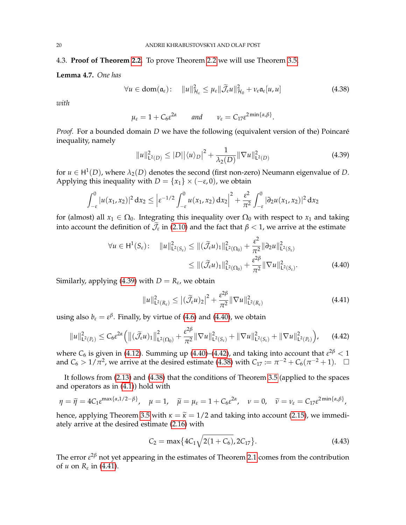#### 4.3. **Proof of Theorem [2.2.](#page-6-2)** To prove Theorem [2.2](#page-6-2) we will use Theorem [3.5.](#page-8-0)

#### <span id="page-19-1"></span>**Lemma 4.7.** *One has*

$$
\forall u \in \text{dom}(\mathfrak{a}_{\varepsilon}) : \quad \|u\|_{\mathcal{H}_{\varepsilon}}^2 \leq \mu_{\varepsilon} \|\widetilde{\mathcal{J}}_{\varepsilon}u\|_{\mathcal{H}_{0}}^2 + \nu_{\varepsilon} \mathfrak{a}_{\varepsilon}[u, u] \tag{4.38}
$$

*with*

<span id="page-19-5"></span>
$$
\mu_{\varepsilon} = 1 + C_6 \varepsilon^{2\alpha} \quad \text{and} \quad \nu_{\varepsilon} = C_{17} \varepsilon^{2 \min\{\alpha, \beta\}}.
$$

*Proof.* For a bounded domain *D* we have the following (equivalent version of the) Poincaré inequality, namely

<span id="page-19-2"></span>
$$
||u||_{\mathsf{L}^{2}(D)}^{2} \le |D||\langle u \rangle_{D}|^{2} + \frac{1}{\lambda_{2}(D)}||\nabla u||_{\mathsf{L}^{2}(D)}^{2}
$$
\n(4.39)

for  $u \in H^1(D)$ , where  $\lambda_2(D)$  denotes the second (first non-zero) Neumann eigenvalue of *D*. Applying this inequality with  $D = \{x_1\} \times (-\varepsilon, 0)$ , we obtain

$$
\int_{-\varepsilon}^0 |u(x_1, x_2)|^2 dx_2 \leq \left| \varepsilon^{-1/2} \int_{-\varepsilon}^0 u(x_1, x_2) dx_2 \right|^2 + \frac{\varepsilon^2}{\pi^2} \int_{-\varepsilon}^0 |\partial_2 u(x_1, x_2)|^2 dx_2
$$

for (almost) all  $x_1 \in \Omega_0$ . Integrating this inequality over  $\Omega_0$  with respect to  $x_1$  and taking into account the definition of  $\bar{\mathcal{J}}_{\varepsilon}$  in [\(2.10\)](#page-5-2) and the fact that  $\beta < 1$ , we arrive at the estimate

$$
\forall u \in H^{1}(S_{\varepsilon}) : \quad \|u\|_{\mathsf{L}^{2}(S_{\varepsilon})}^{2} \leq \|(\widetilde{\mathcal{J}}_{\varepsilon} u)_{1}\|_{\mathsf{L}^{2}(\Omega_{0})}^{2} + \frac{\varepsilon^{2}}{\pi^{2}} \|\partial_{2} u\|_{\mathsf{L}^{2}(S_{\varepsilon})}^{2}
$$
\n
$$
\leq \|(\widetilde{\mathcal{J}}_{\varepsilon} u)_{1}\|_{\mathsf{L}^{2}(\Omega_{0})}^{2} + \frac{\varepsilon^{2\beta}}{\pi^{2}} \|\nabla u\|_{\mathsf{L}^{2}(S_{\varepsilon})}^{2}.
$$
\n(4.40)

Similarly, applying [\(4.39\)](#page-19-2) with  $D = R_{\varepsilon}$ , we obtain

<span id="page-19-6"></span><span id="page-19-4"></span><span id="page-19-3"></span>
$$
||u||_{\mathsf{L}^{2}(R_{\varepsilon})}^{2} \leq \left|(\widetilde{\mathcal{J}}_{\varepsilon} u)_{2}\right|^{2} + \frac{\varepsilon^{2\beta}}{\pi^{2}} ||\nabla u||_{\mathsf{L}^{2}(R_{\varepsilon})}^{2}
$$
\n(4.41)

using also  $b_{\varepsilon} = \varepsilon^{\beta}$ . Finally, by virtue of [\(4.6\)](#page-12-7) and [\(4.40\)](#page-19-3), we obtain

$$
||u||_{\mathsf{L}^{2}(P_{\varepsilon})}^{2} \leq C_{6} \varepsilon^{2\alpha} \Big( ||(\widetilde{\mathcal{J}}_{\varepsilon} u)_{1}||_{\mathsf{L}^{2}(\Omega_{0})}^{2} + \frac{\varepsilon^{2\beta}}{\pi^{2}} ||\nabla u||_{\mathsf{L}^{2}(S_{\varepsilon})}^{2} + ||\nabla u||_{\mathsf{L}^{2}(S_{\varepsilon})}^{2} + ||\nabla u||_{\mathsf{L}^{2}(P_{\varepsilon})}^{2} \Big), \qquad (4.42)
$$

where  $C_6$  is given in [\(4.12\)](#page-13-4). Summing up [\(4.40\)](#page-19-3)–[\(4.42\)](#page-19-4), and taking into account that  $\varepsilon^{2\beta} < 1$ and  $C_6 > 1/\pi^2$ , we arrive at the desired estimate [\(4.38\)](#page-19-5) with  $C_{17} := \pi^{-2} + C_6(\pi^{-2} + 1)$ .  $\Box$ 

It follows from [\(2.13\)](#page-5-1) and [\(4.38\)](#page-19-5) that the conditions of Theorem [3.5](#page-8-0) (applied to the spaces and operators as in [\(4.1\)](#page-12-2)) hold with

$$
\eta = \widetilde{\eta} = 4C_1 \varepsilon^{\max\{\alpha,1/2-\beta\}}, \quad \mu = 1, \quad \widetilde{\mu} = \mu_{\varepsilon} = 1 + C_6 \varepsilon^{2\alpha}, \quad \nu = 0, \quad \widetilde{\nu} = \nu_{\varepsilon} = C_{17} \varepsilon^{2\min\{\alpha,\beta\}},
$$

hence, applying Theorem [3.5](#page-8-0) with  $\kappa = \tilde{\kappa} = 1/2$  and taking into account [\(2.15\)](#page-6-7), we immediately arrive at the desired estimate [\(2.16\)](#page-6-3) with

<span id="page-19-0"></span>
$$
C_2 = \max\{4C_1\sqrt{2(1+C_6)}, 2C_{17}\}.
$$
\n(4.43)

The error *ε* <sup>2</sup>*<sup>β</sup>* not yet appearing in the estimates of Theorem [2.1](#page-5-0) comes from the contribution of *u* on *R<sup>ε</sup>* in [\(4.41\)](#page-19-6).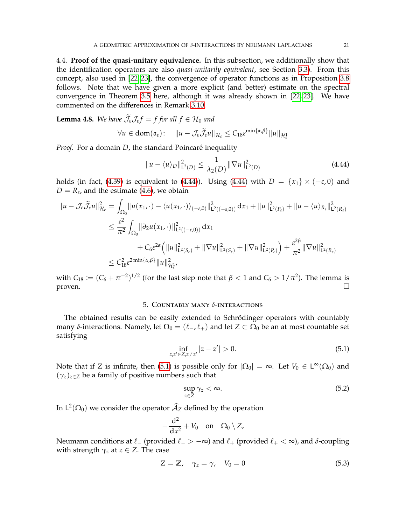4.4. **Proof of the quasi-unitary equivalence.** In this subsection, we additionally show that the identification operators are also *quasi-unitarily equivalent*, see Section [3.3\)](#page-10-0). From this concept, also used in [\[22,](#page-22-15) [23\]](#page-22-4), the convergence of operator functions as in Proposition [3.8](#page-11-1) follows. Note that we have given a more explicit (and better) estimate on the spectral convergence in Theorem [3.5](#page-8-0) here, although it was already shown in [\[22,](#page-22-15) [23\]](#page-22-4). We have commented on the differences in Remark [3.10.](#page-11-2)

<span id="page-20-1"></span>**Lemma 4.8.** *We have*  $\mathcal{J}_{\varepsilon} \mathcal{J}_{\varepsilon} f = f$  for all  $f \in \mathcal{H}_0$  and

$$
\forall u \in \text{dom}(\mathfrak{a}_{\varepsilon}) : \quad \|u - \mathcal{J}_{\varepsilon} \widetilde{\mathcal{J}}_{\varepsilon} u\|_{\mathcal{H}_{\varepsilon}} \leq C_{18} \varepsilon^{\min\{\alpha,\beta\}} \|u\|_{\mathcal{H}^1_{\varepsilon}}
$$

*Proof.* For a domain *D*, the standard Poincaré inequality

<span id="page-20-2"></span>
$$
||u - \langle u \rangle_D||^2_{\mathsf{L}^2(D)} \le \frac{1}{\lambda_2(D)} ||\nabla u||^2_{\mathsf{L}^2(D)}
$$
(4.44)

holds (in fact, [\(4.39\)](#page-19-2) is equivalent to [\(4.44\)](#page-20-2)). Using (4.44) with  $D = \{x_1\} \times (-\varepsilon, 0)$  and  $D = R_{\varepsilon}$ , and the estimate [\(4.6\)](#page-12-7), we obtain

$$
\|u - \mathcal{J}_{\varepsilon}\widetilde{\mathcal{J}}_{\varepsilon}u\|_{\mathcal{H}_{\varepsilon}}^{2} = \int_{\Omega_{0}}\|u(x_{1},\cdot)-\langle u(x_{1},\cdot)\rangle_{(-\varepsilon,0)}\|_{\mathsf{L}^{2}((-\varepsilon,0))}^{2} dx_{1} + \|u\|_{\mathsf{L}^{2}(P_{\varepsilon})}^{2} + \|u - \langle u\rangle_{R_{\varepsilon}}\|_{\mathsf{L}^{2}(R_{\varepsilon})}^{2}
$$
  

$$
\leq \frac{\varepsilon^{2}}{\pi^{2}} \int_{\Omega_{0}}\|\partial_{2}u(x_{1},\cdot)\|_{\mathsf{L}^{2}((-\varepsilon,0))}^{2} dx_{1}
$$
  

$$
+ C_{6}\varepsilon^{2\alpha}\left(\|u\|_{\mathsf{L}^{2}(S_{\varepsilon})}^{2} + \|\nabla u\|_{\mathsf{L}^{2}(S_{\varepsilon})}^{2} + \|\nabla u\|_{\mathsf{L}^{2}(P_{\varepsilon})}^{2}\right) + \frac{\varepsilon^{2\beta}}{\pi^{2}}\|\nabla u\|_{\mathsf{L}^{2}(R_{\varepsilon})}^{2}
$$
  

$$
\leq C_{18}^{2}\varepsilon^{2}\min\{\alpha,\beta\}\|u\|_{\mathcal{H}^{1}_{\varepsilon}}^{2},
$$

with  $C_{18} \coloneqq (C_6 + \pi^{-2})^{1/2}$  (for the last step note that  $\beta < 1$  and  $C_6 > 1/\pi^2$ ). The lemma is proven.  $\Box$ 

## 5. Countably many *δ*-interactions

<span id="page-20-0"></span>The obtained results can be easily extended to Schrödinger operators with countably many  $\delta$ -interactions. Namely, let  $\Omega_0 = (\ell_-, \ell_+)$  and let  $Z \subset \Omega_0$  be an at most countable set satisfying

$$
\inf_{z,z'\in Z,z\neq z'}|z-z'|>0.
$$
\n(5.1)

Note that if *Z* is infinite, then [\(5.1\)](#page-20-3) is possible only for  $|\Omega_0| = \infty$ . Let  $V_0 \in L^{\infty}(\Omega_0)$  and  $(\gamma_z)_{z \in \mathbb{Z}}$  be a family of positive numbers such that

<span id="page-20-5"></span><span id="page-20-4"></span><span id="page-20-3"></span>
$$
\sup_{z\in Z}\gamma_z<\infty.\tag{5.2}
$$

In  $\mathsf{L}^2(\Omega_0)$  we consider the operator  $\widehat{\mathcal{A}}_Z$  defined by the operation

$$
-\frac{\mathrm{d}^2}{\mathrm{d}x^2}+V_0 \quad \text{on} \quad \Omega_0 \setminus Z,
$$

Neumann conditions at  $\ell_$  (provided  $\ell_$  > −∞) and  $\ell_+$  (provided  $\ell_+ < \infty$ ), and *δ*-coupling with strength  $\gamma_z$  at  $z \in Z$ . The case

$$
Z = \mathbb{Z}, \quad \gamma_z = \gamma, \quad V_0 = 0 \tag{5.3}
$$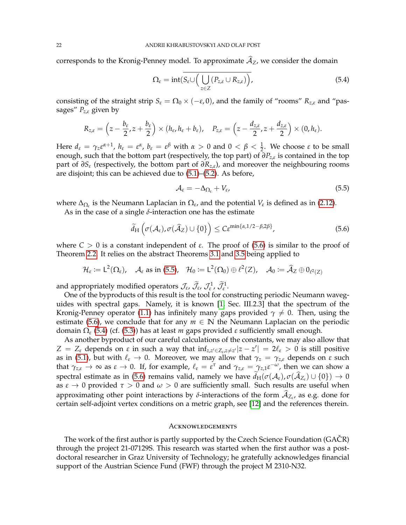corresponds to the Kronig-Penney model. To approximate  $\widehat{A}_Z$ , we consider the domain

<span id="page-21-2"></span>
$$
\Omega_{\varepsilon} = \mathrm{int}(\overline{S_{\varepsilon}} \cup \Big( \bigcup_{z \in Z} (P_{z,\varepsilon} \cup R_{z,\varepsilon}) \Big), \tag{5.4}
$$

consisting of the straight strip  $S_{\varepsilon} = \Omega_0 \times (-\varepsilon, 0)$ , and the family of "rooms"  $R_{z,\varepsilon}$  and "passages" *Pz*,*<sup>ε</sup>* given by

$$
R_{z,\varepsilon}=\left(z-\frac{b_{\varepsilon}}{2},z+\frac{b_{\varepsilon}}{2}\right)\times (h_{\varepsilon},h_{\varepsilon}+b_{\varepsilon}),\quad P_{z,\varepsilon}=\left(z-\frac{d_{z,\varepsilon}}{2},z+\frac{d_{z,\varepsilon}}{2}\right)\times (0,h_{\varepsilon}).
$$

Here  $d_{\varepsilon} = \gamma_z \varepsilon^{\alpha+1}$ ,  $h_{\varepsilon} = \varepsilon^{\alpha}$ ,  $b_{\varepsilon} = \varepsilon^{\beta}$  with  $\alpha > 0$  and  $0 < \beta < \frac{1}{2}$ . We choose  $\varepsilon$  to be small enough, such that the bottom part (respectively, the top part) of *∂Pz*,*<sup>ε</sup>* is contained in the top part of *∂S<sup>ε</sup>* (respectively, the bottom part of *∂Rz*,*ε*), and moreover the neighbouring rooms are disjoint; this can be achieved due to [\(5.1\)](#page-20-3)–[\(5.2\)](#page-20-4). As before,

<span id="page-21-1"></span><span id="page-21-0"></span>
$$
\mathcal{A}_{\varepsilon} = -\Delta_{\Omega_{\varepsilon}} + V_{\varepsilon},\tag{5.5}
$$

where ∆Ω*<sup>ε</sup>* is the Neumann Laplacian in Ω*<sup>ε</sup>* , and the potential *V<sup>ε</sup>* is defined as in [\(2.12\)](#page-5-5).

As in the case of a single *δ*-interaction one has the estimate

$$
\widetilde{d}_{\mathrm{H}}\left(\sigma(\mathcal{A}_{\varepsilon}), \sigma(\widehat{\mathcal{A}}_{Z}) \cup \{0\}\right) \leq C \varepsilon^{\min\{\alpha, 1/2 - \beta, 2\beta\}},\tag{5.6}
$$

where  $C > 0$  is a constant independent of  $\varepsilon$ . The proof of [\(5.6\)](#page-21-0) is similar to the proof of Theorem [2.2.](#page-6-2) It relies on the abstract Theorems [3.1](#page-7-0) and [3.5](#page-8-0) being applied to

$$
\mathcal{H}_{\varepsilon} := \mathsf{L}^2(\Omega_{\varepsilon}), \quad \mathcal{A}_{\varepsilon} \text{ as in (5.5)}, \quad \mathcal{H}_0 := \mathsf{L}^2(\Omega_0) \oplus \ell^2(Z), \quad \mathcal{A}_0 := \widehat{\mathcal{A}}_Z \oplus 0_{\ell^2(Z)}
$$

and appropriately modified operators  $\mathcal{J}_{\varepsilon}$ ,  $\tilde{\mathcal{J}}_{\varepsilon}$ ,  $\mathcal{J}_{\varepsilon}^1$ ,  $\tilde{\mathcal{J}}_{\varepsilon}^1$ .

One of the byproducts of this result is the tool for constructing periodic Neumann waveguides with spectral gaps. Namely, it is known [\[1,](#page-22-0) Sec. III.2.3] that the spectrum of the Kronig-Penney operator [\(1.1\)](#page-0-0) has infinitely many gaps provided  $\gamma \neq 0$ . Then, using the estimate [\(5.6\)](#page-21-0), we conclude that for any  $m \in \mathbb{N}$  the Neumann Laplacian on the periodic domain Ω*<sup>ε</sup>* [\(5.4\)](#page-21-2) (cf. [\(5.3\)](#page-20-5)) has at least *m* gaps provided *ε* sufficiently small enough.

As another byproduct of our careful calculations of the constants, we may also allow that *Z* = *Z*<sub>*ε*</sub> depends on *ε* in such a way that  $inf_{z,z'\in Z_e,z\neq z'}|z-z'| = 2ℓ_ε > 0$  is still positive as in [\(5.1\)](#page-20-3), but with  $\ell$ <sup>*ε*</sup> → 0. Moreover, we may allow that  $γ$ *z* =  $γ$ *z*<sub>*ε*</sub> depends on *ε* such that  $\gamma_{z,\varepsilon} \to \infty$  as  $\varepsilon \to 0$ . If, for example,  $\ell_{\varepsilon} = \varepsilon^{\tau}$  and  $\gamma_{z,\varepsilon} = \gamma_{z,1} \varepsilon^{-\omega}$ , then we can show a spectral estimate as in [\(5.6\)](#page-21-0) remains valid, namely we have  $d_H(\sigma(\mathcal{A}_{\varepsilon}), \sigma(\mathcal{A}_{Z_{\varepsilon}}) \cup \{0\}) \to 0$ as  $\varepsilon \to 0$  provided  $\tau > 0$  and  $\omega > 0$  are sufficiently small. Such results are useful when approximating other point interactions by *δ*-interactions of the form  $A_{Z_{\varepsilon}}$ , as e.g. done for certain self-adjoint vertex conditions on a metric graph, see [\[12\]](#page-22-26) and the references therein.

#### **ACKNOWLEDGEMENTS**

The work of the first author is partly supported by the Czech Science Foundation (GACR) through the project 21-07129S. This research was started when the first author was a postdoctoral researcher in Graz University of Technology; he gratefully acknowledges financial support of the Austrian Science Fund (FWF) through the project M 2310-N32.